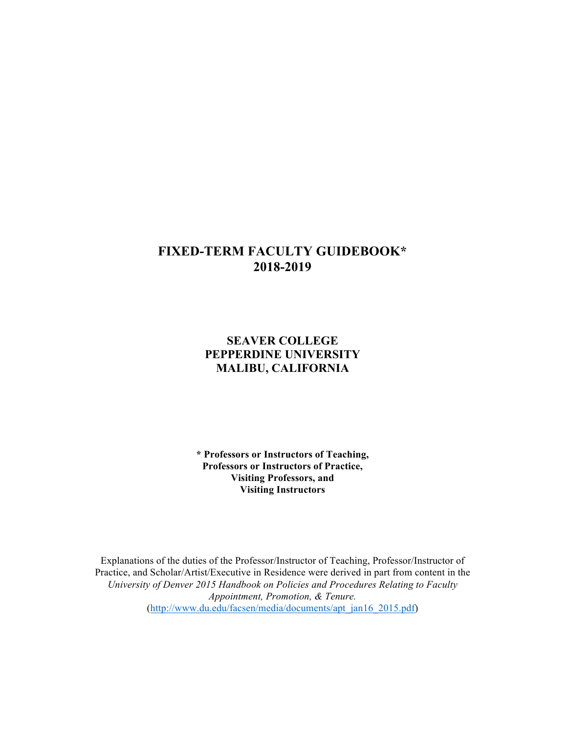# **FIXED-TERM FACULTY GUIDEBOOK\* 2018-2019**

# **SEAVER COLLEGE PEPPERDINE UNIVERSITY MALIBU, CALIFORNIA**

 **\* Professors or Instructors of Teaching, Professors or Instructors of Practice, Visiting Professors, and Visiting Instructors** 

 Explanations of the duties of the Professor/Instructor of Teaching, Professor/Instructor of Practice, and Scholar/Artist/Executive in Residence were derived in part from content in the  *University of Denver 2015 Handbook on Policies and Procedures Relating to Faculty Appointment, Promotion, & Tenure.*  [\(http://www.du.edu/facsen/media/documents/apt\\_jan16\\_2015.pdf](http://www.du.edu/facsen/media/documents/apt_jan16_2015.pdf))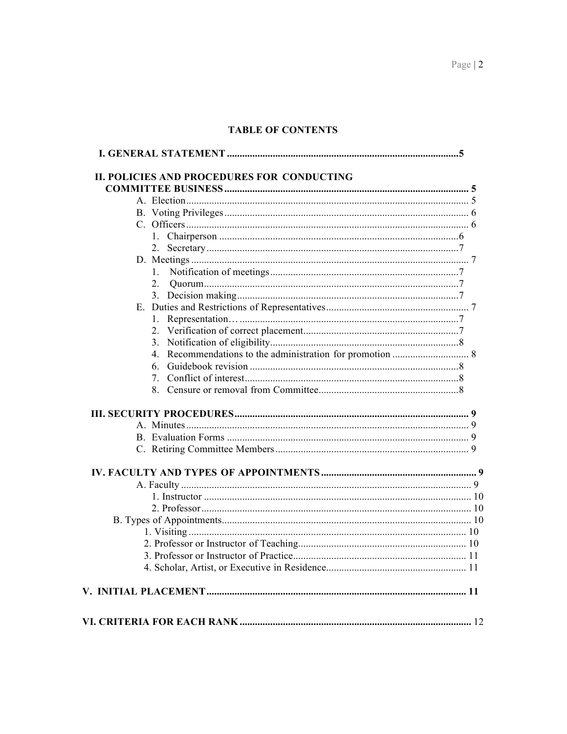# **TABLE OF CONTENTS**

| $2_{-}$ |  |
|---------|--|
|         |  |
|         |  |
|         |  |
|         |  |
|         |  |
|         |  |
| 6.      |  |
| 7.      |  |
|         |  |
|         |  |
|         |  |
|         |  |
|         |  |
|         |  |
|         |  |
|         |  |
|         |  |
|         |  |
|         |  |
|         |  |
|         |  |
|         |  |
|         |  |
|         |  |
|         |  |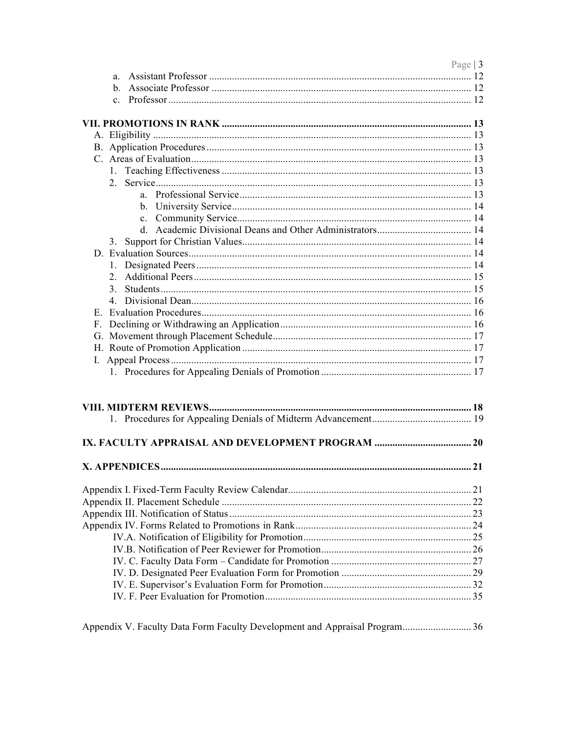| Page   $3$     |  |
|----------------|--|
| a.             |  |
| $\mathbf{b}$ . |  |
|                |  |
|                |  |
|                |  |
|                |  |
|                |  |
|                |  |
|                |  |
|                |  |
|                |  |
|                |  |
| $c_{\cdot}$    |  |
| d.             |  |
| 3.             |  |
|                |  |
|                |  |
| 2.             |  |
| 3.             |  |
|                |  |
| 4              |  |
|                |  |
|                |  |
|                |  |
|                |  |
|                |  |
|                |  |
|                |  |
|                |  |
|                |  |
|                |  |
|                |  |
|                |  |
|                |  |
|                |  |
|                |  |
|                |  |
|                |  |
|                |  |
|                |  |
|                |  |
|                |  |
|                |  |
|                |  |
|                |  |
|                |  |
|                |  |
|                |  |

Appendix V. Faculty Data Form Faculty Development and Appraisal Program........................... 36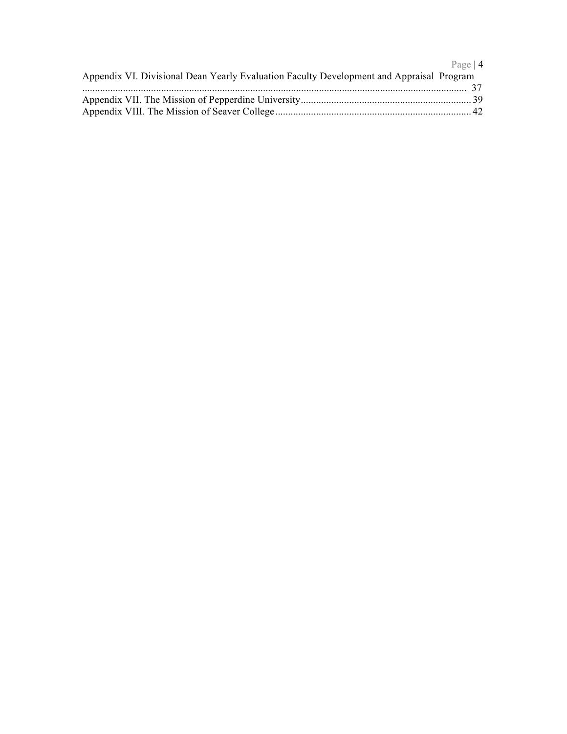|                                                                                          | Page $ 4$ |
|------------------------------------------------------------------------------------------|-----------|
| Appendix VI. Divisional Dean Yearly Evaluation Faculty Development and Appraisal Program |           |
|                                                                                          |           |
|                                                                                          |           |
|                                                                                          |           |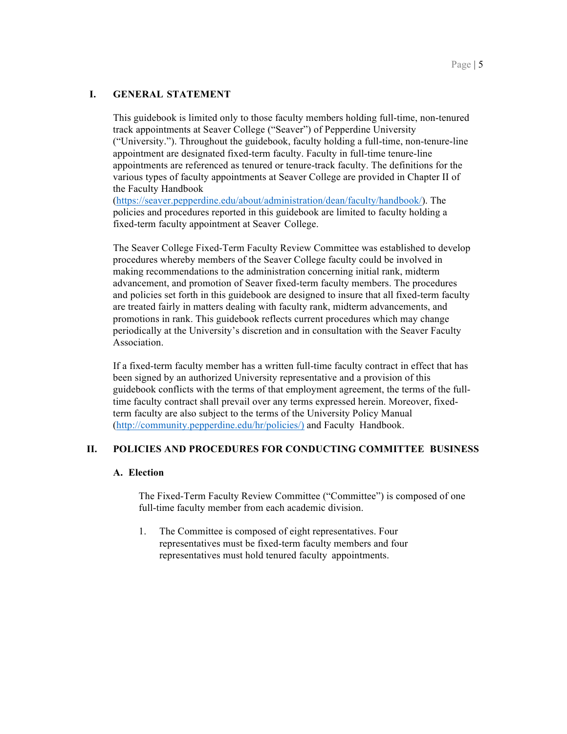# **I. GENERAL STATEMENT**

 This guidebook is limited only to those faculty members holding full-time, non-tenured ("University."). Throughout the guidebook, faculty holding a full-time, non-tenure-line appointments are referenced as tenured or tenure-track faculty. The definitions for the various types of faculty appointments at Seaver College are provided in Chapter II of track appointments at Seaver College ("Seaver") of Pepperdine University appointment are designated fixed-term faculty. Faculty in full-time tenure-line the Faculty Handbook

 ([https://seaver.pepperdine.edu/about/administration/dean/faculty/handbook/](https://seaver.pepperdine.edu/about/administration/dean/faculty/handbook)). The fixed-term faculty appointment at Seaver College. policies and procedures reported in this guidebook are limited to faculty holding a

 The Seaver College Fixed-Term Faculty Review Committee was established to develop procedures whereby members of the Seaver College faculty could be involved in making recommendations to the administration concerning initial rank, midterm advancement, and promotion of Seaver fixed-term faculty members. The procedures and policies set forth in this guidebook are designed to insure that all fixed-term faculty are treated fairly in matters dealing with faculty rank, midterm advancements, and promotions in rank. This guidebook reflects current procedures which may change periodically at the University's discretion and in consultation with the Seaver Faculty Association.

 been signed by an authorized University representative and a provision of this guidebook conflicts with the terms of that employment agreement, the terms of the full([http://community.pepperdine.edu/hr/policies/](http://community.pepperdine.edu/hr/policies)) and Faculty Handbook. If a fixed-term faculty member has a written full-time faculty contract in effect that has time faculty contract shall prevail over any terms expressed herein. Moreover, fixedterm faculty are also subject to the terms of the University Policy Manual

# **II. POLICIES AND PROCEDURES FOR CONDUCTING COMMITTEE BUSINESS**

# **A. Election**

 The Fixed-Term Faculty Review Committee ("Committee") is composed of one full-time faculty member from each academic division.

 1. The Committee is composed of eight representatives. Four representatives must be fixed-term faculty members and four representatives must hold tenured faculty appointments.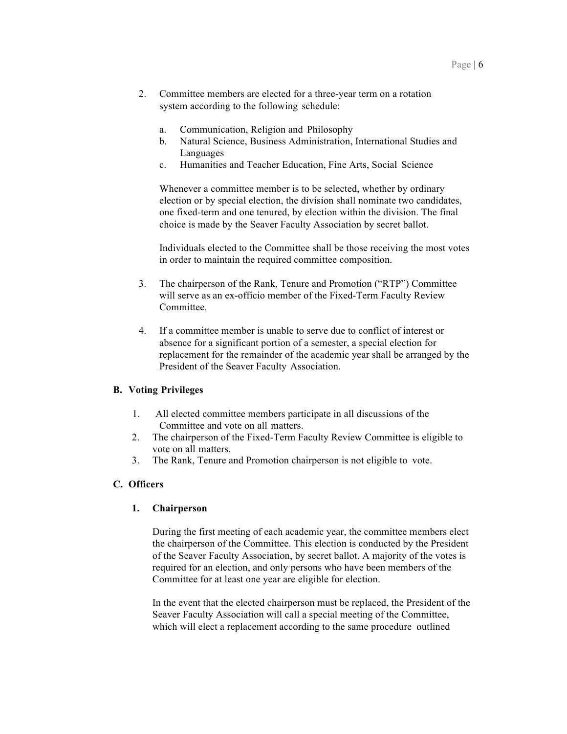- 2. Committee members are elected for a three-year term on a rotation system according to the following schedule:
	- a. Communication, Religion and Philosophy
	- b. Natural Science, Business Administration, International Studies and Languages
	- c. Humanities and Teacher Education, Fine Arts, Social Science

 Whenever a committee member is to be selected, whether by ordinary election or by special election, the division shall nominate two candidates, choice is made by the Seaver Faculty Association by secret ballot. one fixed-term and one tenured, by election within the division. The final

 Individuals elected to the Committee shall be those receiving the most votes in order to maintain the required committee composition.

- 3. The chairperson of the Rank, Tenure and Promotion ("RTP") Committee will serve as an ex-officio member of the Fixed-Term Faculty Review Committee.
- 4. If a committee member is unable to serve due to conflict of interest or absence for a significant portion of a semester, a special election for replacement for the remainder of the academic year shall be arranged by the President of the Seaver Faculty Association.

# **B. Voting Privileges**

- 1. All elected committee members participate in all discussions of the Committee and vote on all matters.
- 2. The chairperson of the Fixed-Term Faculty Review Committee is eligible to vote on all matters.
- 3. The Rank, Tenure and Promotion chairperson is not eligible to vote.

# **C. Officers**

# **1. Chairperson**

 During the first meeting of each academic year, the committee members elect of the Seaver Faculty Association, by secret ballot. A majority of the votes is required for an election, and only persons who have been members of the Committee for at least one year are eligible for election. the chairperson of the Committee. This election is conducted by the President

 In the event that the elected chairperson must be replaced, the President of the Seaver Faculty Association will call a special meeting of the Committee, which will elect a replacement according to the same procedure outlined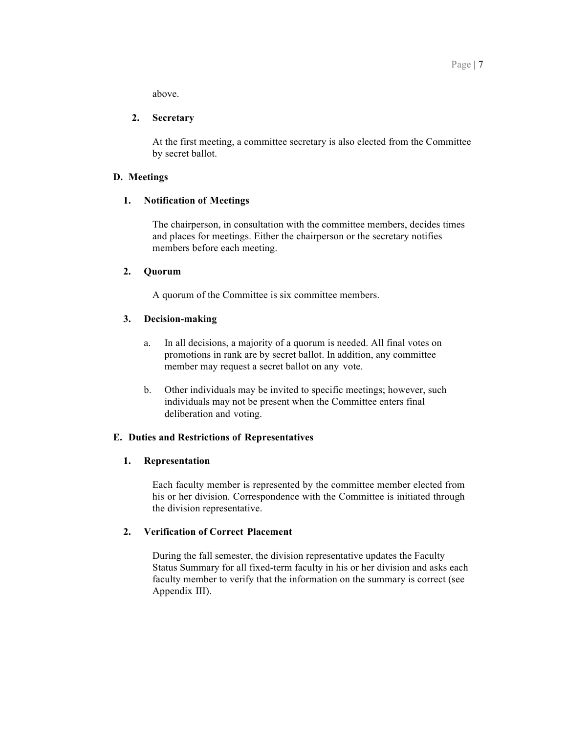above.

#### **2. Secretary**

 At the first meeting, a committee secretary is also elected from the Committee by secret ballot.

#### **D. Meetings**

#### **1. Notification of Meetings**

 The chairperson, in consultation with the committee members, decides times and places for meetings. Either the chairperson or the secretary notifies members before each meeting.

### **2. Quorum**

A quorum of the Committee is six committee members.

# **3. Decision-making**

- a. In all decisions, a majority of a quorum is needed. All final votes on promotions in rank are by secret ballot. In addition, any committee member may request a secret ballot on any vote.
- b. Other individuals may be invited to specific meetings; however, such deliberation and voting. individuals may not be present when the Committee enters final

# **E. Duties and Restrictions of Representatives**

#### **1. Representation**

 Each faculty member is represented by the committee member elected from his or her division. Correspondence with the Committee is initiated through the division representative.

# **2. Verification of Correct Placement**

 During the fall semester, the division representative updates the Faculty Status Summary for all fixed-term faculty in his or her division and asks each faculty member to verify that the information on the summary is correct (see Appendix III).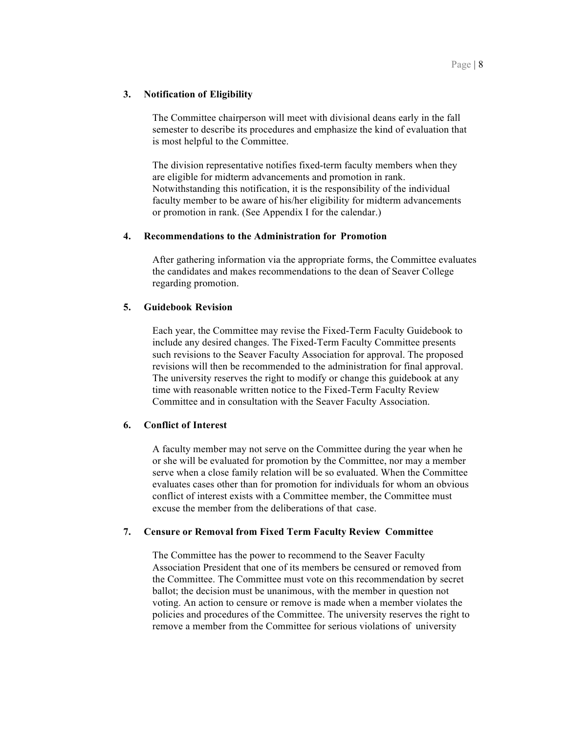The Committee chairperson will meet with divisional deans early in the fall semester to describe its procedures and emphasize the kind of evaluation that is most helpful to the Committee.

 The division representative notifies fixed-term faculty members when they are eligible for midterm advancements and promotion in rank. Notwithstanding this notification, it is the responsibility of the individual faculty member to be aware of his/her eligibility for midterm advancements or promotion in rank. (See Appendix I for the calendar.)

# **4. Recommendations to the Administration for Promotion**

 After gathering information via the appropriate forms, the Committee evaluates the candidates and makes recommendations to the dean of Seaver College regarding promotion.

#### **5. Guidebook Revision**

 Each year, the Committee may revise the Fixed-Term Faculty Guidebook to include any desired changes. The Fixed-Term Faculty Committee presents such revisions to the Seaver Faculty Association for approval. The proposed revisions will then be recommended to the administration for final approval. The university reserves the right to modify or change this guidebook at any time with reasonable written notice to the Fixed-Term Faculty Review Committee and in consultation with the Seaver Faculty Association.

# **6. Conflict of Interest**

 A faculty member may not serve on the Committee during the year when he or she will be evaluated for promotion by the Committee, nor may a member serve when a close family relation will be so evaluated. When the Committee evaluates cases other than for promotion for individuals for whom an obvious conflict of interest exists with a Committee member, the Committee must excuse the member from the deliberations of that case.

# **7. Censure or Removal from Fixed Term Faculty Review Committee**

 The Committee has the power to recommend to the Seaver Faculty Association President that one of its members be censured or removed from ballot; the decision must be unanimous, with the member in question not voting. An action to censure or remove is made when a member violates the policies and procedures of the Committee. The university reserves the right to remove a member from the Committee for serious violations of university the Committee. The Committee must vote on this recommendation by secret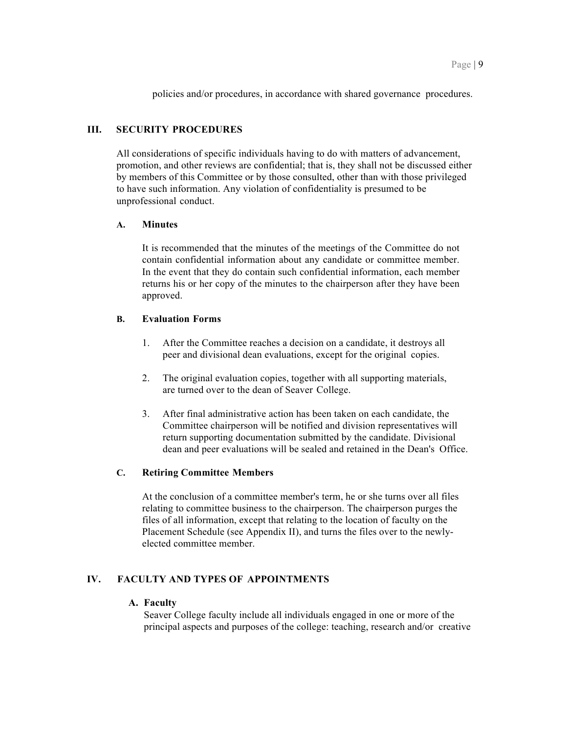policies and/or procedures, in accordance with shared governance procedures.

# **III. SECURITY PROCEDURES**

 All considerations of specific individuals having to do with matters of advancement, promotion, and other reviews are confidential; that is, they shall not be discussed either by members of this Committee or by those consulted, other than with those privileged unprofessional conduct. to have such information. Any violation of confidentiality is presumed to be

#### **A. Minutes**

 It is recommended that the minutes of the meetings of the Committee do not contain confidential information about any candidate or committee member. In the event that they do contain such confidential information, each member returns his or her copy of the minutes to the chairperson after they have been approved.

#### **B. Evaluation Forms**

- 1. After the Committee reaches a decision on a candidate, it destroys all peer and divisional dean evaluations, except for the original copies.
- 2. The original evaluation copies, together with all supporting materials, are turned over to the dean of Seaver College.
- 3. After final administrative action has been taken on each candidate, the Committee chairperson will be notified and division representatives will return supporting documentation submitted by the candidate. Divisional dean and peer evaluations will be sealed and retained in the Dean's Office.

#### **C. Retiring Committee Members**

 At the conclusion of a committee member's term, he or she turns over all files relating to committee business to the chairperson. The chairperson purges the files of all information, except that relating to the location of faculty on the Placement Schedule (see Appendix II), and turns the files over to the newlyelected committee member.

# **IV. FACULTY AND TYPES OF APPOINTMENTS**

#### **A. Faculty**

 Seaver College faculty include all individuals engaged in one or more of the principal aspects and purposes of the college: teaching, research and/or creative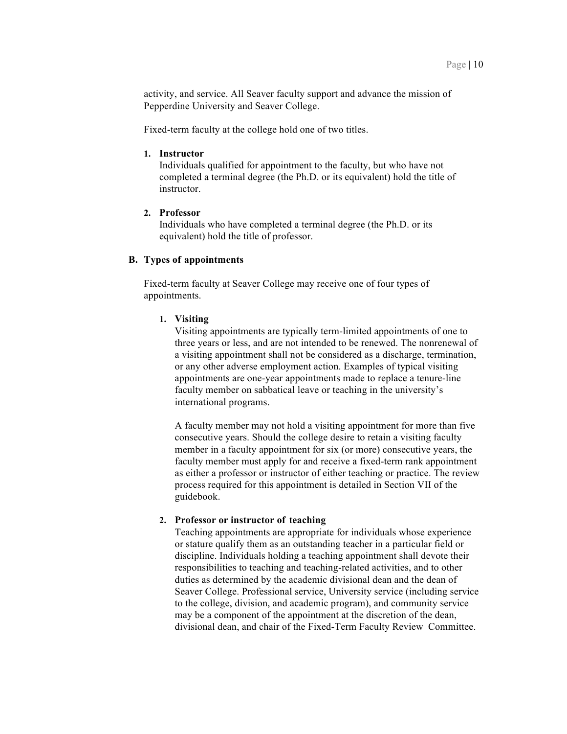activity, and service. All Seaver faculty support and advance the mission of Pepperdine University and Seaver College.

Fixed-term faculty at the college hold one of two titles.

# **1. Instructor**

 Individuals qualified for appointment to the faculty, but who have not completed a terminal degree (the Ph.D. or its equivalent) hold the title of instructor.

#### **2. Professor**

 Individuals who have completed a terminal degree (the Ph.D. or its equivalent) hold the title of professor.

# **B. Types of appointments**

Fixed-term faculty at Seaver College may receive one of four types of appointments.

#### **1. Visiting**

 Visiting appointments are typically term-limited appointments of one to or any other adverse employment action. Examples of typical visiting appointments are one-year appointments made to replace a tenure-line faculty member on sabbatical leave or teaching in the university's three years or less, and are not intended to be renewed. The nonrenewal of a visiting appointment shall not be considered as a discharge, termination, international programs.

 A faculty member may not hold a visiting appointment for more than five consecutive years. Should the college desire to retain a visiting faculty member in a faculty appointment for six (or more) consecutive years, the faculty member must apply for and receive a fixed-term rank appointment as either a professor or instructor of either teaching or practice. The review process required for this appointment is detailed in Section VII of the guidebook.

#### **2. Professor or instructor of teaching**

 Teaching appointments are appropriate for individuals whose experience or stature qualify them as an outstanding teacher in a particular field or discipline. Individuals holding a teaching appointment shall devote their responsibilities to teaching and teaching-related activities, and to other duties as determined by the academic divisional dean and the dean of Seaver College. Professional service, University service (including service may be a component of the appointment at the discretion of the dean, divisional dean, and chair of the Fixed-Term Faculty Review Committee. to the college, division, and academic program), and community service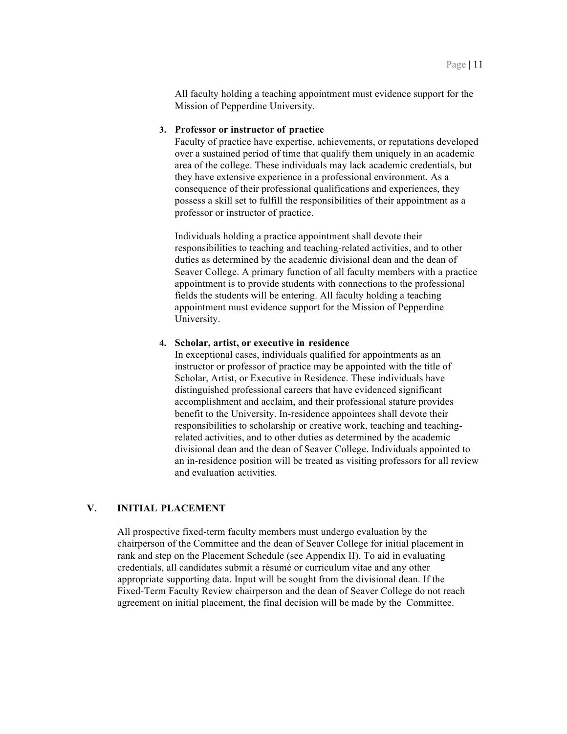All faculty holding a teaching appointment must evidence support for the Mission of Pepperdine University.

#### **3. Professor or instructor of practice**

 Faculty of practice have expertise, achievements, or reputations developed over a sustained period of time that qualify them uniquely in an academic area of the college. These individuals may lack academic credentials, but consequence of their professional qualifications and experiences, they possess a skill set to fulfill the responsibilities of their appointment as a professor or instructor of practice. they have extensive experience in a professional environment. As a

 Individuals holding a practice appointment shall devote their responsibilities to teaching and teaching-related activities, and to other duties as determined by the academic divisional dean and the dean of Seaver College. A primary function of all faculty members with a practice appointment is to provide students with connections to the professional fields the students will be entering. All faculty holding a teaching appointment must evidence support for the Mission of Pepperdine University.

#### **4. Scholar, artist, or executive in residence**

 In exceptional cases, individuals qualified for appointments as an Scholar, Artist, or Executive in Residence. These individuals have distinguished professional careers that have evidenced significant accomplishment and acclaim, and their professional stature provides benefit to the University. In-residence appointees shall devote their responsibilities to scholarship or creative work, teaching and teaching- related activities, and to other duties as determined by the academic divisional dean and the dean of Seaver College. Individuals appointed to an in-residence position will be treated as visiting professors for all review and evaluation activities. instructor or professor of practice may be appointed with the title of

# **V. INITIAL PLACEMENT**

 All prospective fixed-term faculty members must undergo evaluation by the chairperson of the Committee and the dean of Seaver College for initial placement in rank and step on the Placement Schedule (see Appendix II). To aid in evaluating credentials, all candidates submit a résumé or curriculum vitae and any other appropriate supporting data. Input will be sought from the divisional dean. If the Fixed-Term Faculty Review chairperson and the dean of Seaver College do not reach agreement on initial placement, the final decision will be made by the Committee.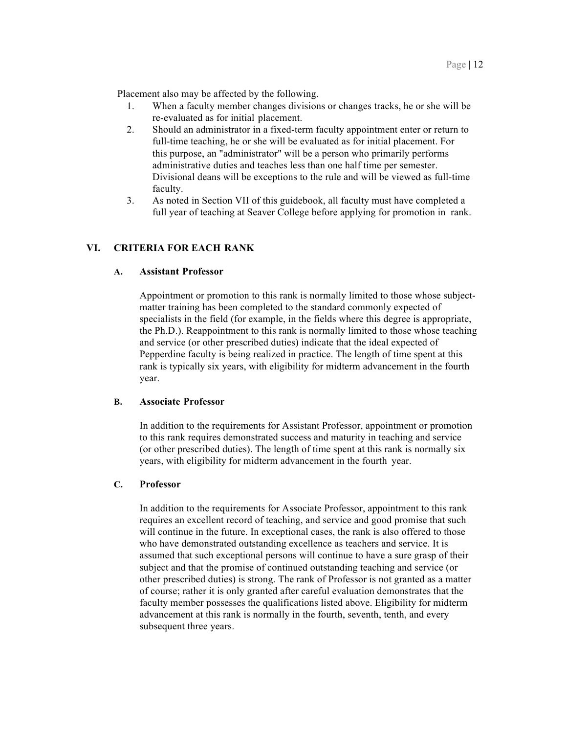Placement also may be affected by the following.

- 1. When a faculty member changes divisions or changes tracks, he or she will be re-evaluated as for initial placement.
- full-time teaching, he or she will be evaluated as for initial placement. For administrative duties and teaches less than one half time per semester. Divisional deans will be exceptions to the rule and will be viewed as full-time 2. Should an administrator in a fixed-term faculty appointment enter or return to this purpose, an "administrator" will be a person who primarily performs faculty.
- 3. As noted in Section VII of this guidebook, all faculty must have completed a full year of teaching at Seaver College before applying for promotion in rank.

# **VI. CRITERIA FOR EACH RANK**

# **A. Assistant Professor**

 Appointment or promotion to this rank is normally limited to those whose subject- matter training has been completed to the standard commonly expected of specialists in the field (for example, in the fields where this degree is appropriate, the Ph.D.). Reappointment to this rank is normally limited to those whose teaching and service (or other prescribed duties) indicate that the ideal expected of Pepperdine faculty is being realized in practice. The length of time spent at this rank is typically six years, with eligibility for midterm advancement in the fourth year.

#### **B. Associate Professor**

 In addition to the requirements for Assistant Professor, appointment or promotion to this rank requires demonstrated success and maturity in teaching and service to this rank requires demonstrated success and maturity in teaching and service (or other prescribed duties). The length of time spent at this rank is normally six years, with eligibility for midterm advancement in the fourth year.

# **C. Professor**

 In addition to the requirements for Associate Professor, appointment to this rank requires an excellent record of teaching, and service and good promise that such will continue in the future. In exceptional cases, the rank is also offered to those who have demonstrated outstanding excellence as teachers and service. It is assumed that such exceptional persons will continue to have a sure grasp of their subject and that the promise of continued outstanding teaching and service (or other prescribed duties) is strong. The rank of Professor is not granted as a matter of course; rather it is only granted after careful evaluation demonstrates that the faculty member possesses the qualifications listed above. Eligibility for midterm advancement at this rank is normally in the fourth, seventh, tenth, and every subsequent three years.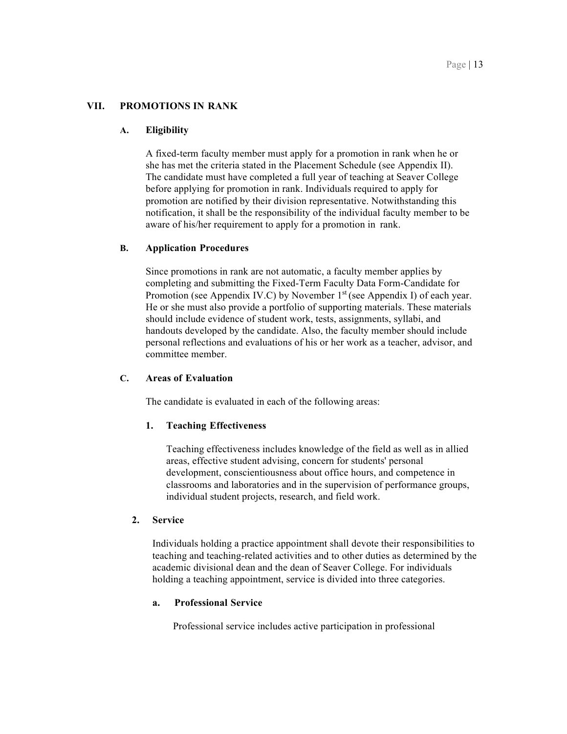# **VII. PROMOTIONS IN RANK**

#### **A. Eligibility**

 she has met the criteria stated in the Placement Schedule (see Appendix II). The candidate must have completed a full year of teaching at Seaver College before applying for promotion in rank. Individuals required to apply for notification, it shall be the responsibility of the individual faculty member to be aware of his/her requirement to apply for a promotion in rank. A fixed-term faculty member must apply for a promotion in rank when he or promotion are notified by their division representative. Notwithstanding this

#### **B. Application Procedures**

 Since promotions in rank are not automatic, a faculty member applies by completing and submitting the Fixed-Term Faculty Data Form-Candidate for Promotion (see Appendix IV.C) by November  $1<sup>st</sup>$  (see Appendix I) of each year. He or she must also provide a portfolio of supporting materials. These materials should include evidence of student work, tests, assignments, syllabi, and handouts developed by the candidate. Also, the faculty member should include personal reflections and evaluations of his or her work as a teacher, advisor, and committee member.

# **C. Areas of Evaluation**

The candidate is evaluated in each of the following areas:

#### **1. Teaching Effectiveness**

 Teaching effectiveness includes knowledge of the field as well as in allied areas, effective student advising, concern for students' personal development, conscientiousness about office hours, and competence in classrooms and laboratories and in the supervision of performance groups, individual student projects, research, and field work.

#### **2. Service**

 Individuals holding a practice appointment shall devote their responsibilities to teaching and teaching-related activities and to other duties as determined by the academic divisional dean and the dean of Seaver College. For individuals holding a teaching appointment, service is divided into three categories.

#### **a. Professional Service**

Professional service includes active participation in professional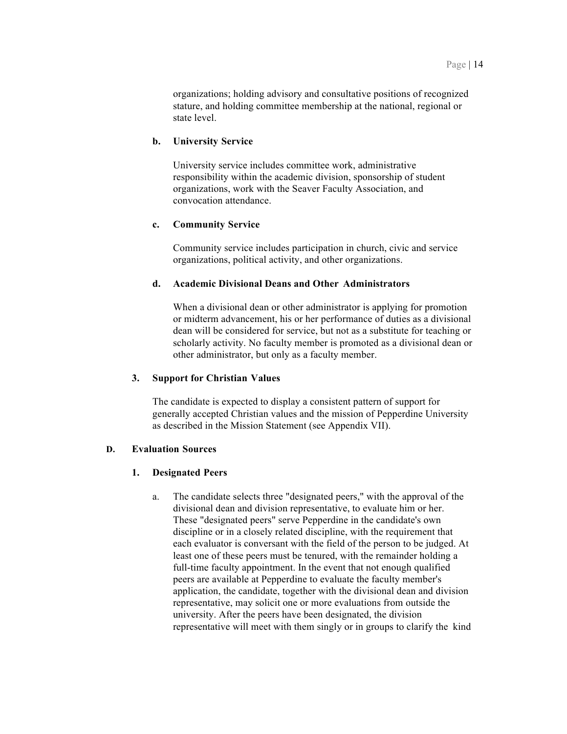organizations; holding advisory and consultative positions of recognized stature, and holding committee membership at the national, regional or state level.

#### **b. University Service**

 University service includes committee work, administrative responsibility within the academic division, sponsorship of student organizations, work with the Seaver Faculty Association, and convocation attendance.

# **c. Community Service**

 Community service includes participation in church, civic and service organizations, political activity, and other organizations.

#### **d. Academic Divisional Deans and Other Administrators**

 When a divisional dean or other administrator is applying for promotion or midterm advancement, his or her performance of duties as a divisional dean will be considered for service, but not as a substitute for teaching or scholarly activity. No faculty member is promoted as a divisional dean or other administrator, but only as a faculty member.

#### **3. Support for Christian Values**

 The candidate is expected to display a consistent pattern of support for generally accepted Christian values and the mission of Pepperdine University as described in the Mission Statement (see Appendix VII).

# **D. Evaluation Sources**

# **1. Designated Peers**

 a. The candidate selects three "designated peers," with the approval of the divisional dean and division representative, to evaluate him or her. These "designated peers" serve Pepperdine in the candidate's own discipline or in a closely related discipline, with the requirement that each evaluator is conversant with the field of the person to be judged. At peers are available at Pepperdine to evaluate the faculty member's application, the candidate, together with the divisional dean and division representative, may solicit one or more evaluations from outside the university. After the peers have been designated, the division representative will meet with them singly or in groups to clarify the kind least one of these peers must be tenured, with the remainder holding a full-time faculty appointment. In the event that not enough qualified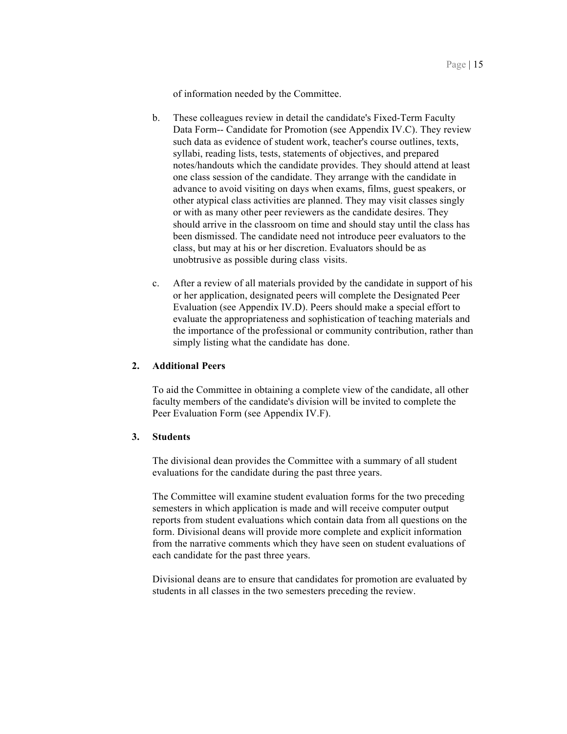of information needed by the Committee.

- b. These colleagues review in detail the candidate's Fixed-Term Faculty Data Form-- Candidate for Promotion (see Appendix IV.C). They review such data as evidence of student work, teacher's course outlines, texts, syllabi, reading lists, tests, statements of objectives, and prepared notes/handouts which the candidate provides. They should attend at least one class session of the candidate. They arrange with the candidate in advance to avoid visiting on days when exams, films, guest speakers, or other atypical class activities are planned. They may visit classes singly or with as many other peer reviewers as the candidate desires. They should arrive in the classroom on time and should stay until the class has been dismissed. The candidate need not introduce peer evaluators to the class, but may at his or her discretion. Evaluators should be as unobtrusive as possible during class visits.
- c. After a review of all materials provided by the candidate in support of his or her application, designated peers will complete the Designated Peer Evaluation (see Appendix IV.D). Peers should make a special effort to evaluate the appropriateness and sophistication of teaching materials and simply listing what the candidate has done. the importance of the professional or community contribution, rather than

#### **2. Additional Peers**

 To aid the Committee in obtaining a complete view of the candidate, all other faculty members of the candidate's division will be invited to complete the Peer Evaluation Form (see Appendix IV.F).

#### **3. Students**

 The divisional dean provides the Committee with a summary of all student evaluations for the candidate during the past three years.

 The Committee will examine student evaluation forms for the two preceding semesters in which application is made and will receive computer output reports from student evaluations which contain data from all questions on the form. Divisional deans will provide more complete and explicit information from the narrative comments which they have seen on student evaluations of each candidate for the past three years.

 Divisional deans are to ensure that candidates for promotion are evaluated by students in all classes in the two semesters preceding the review.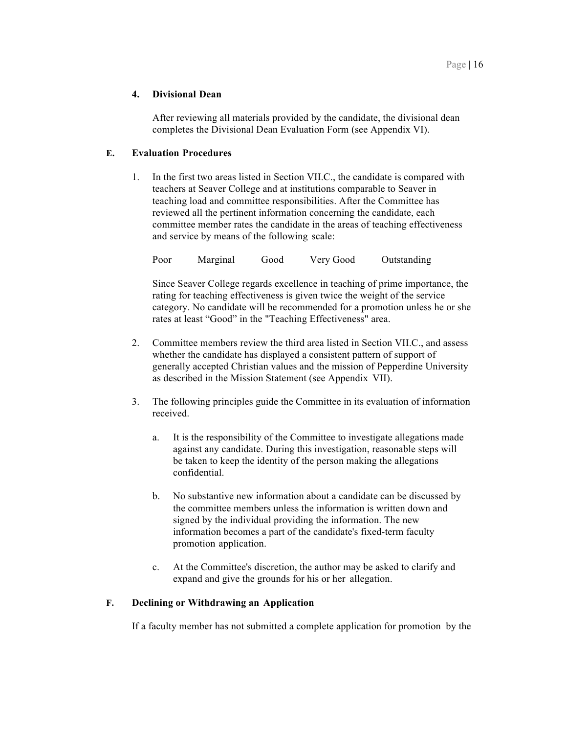# **4. Divisional Dean**

 After reviewing all materials provided by the candidate, the divisional dean completes the Divisional Dean Evaluation Form (see Appendix VI).

# **E. Evaluation Procedures**

 1. In the first two areas listed in Section VII.C., the candidate is compared with reviewed all the pertinent information concerning the candidate, each committee member rates the candidate in the areas of teaching effectiveness and service by means of the following scale: teachers at Seaver College and at institutions comparable to Seaver in teaching load and committee responsibilities. After the Committee has

Marginal Poor Marginal Good Very Good Outstanding

 Since Seaver College regards excellence in teaching of prime importance, the rating for teaching effectiveness is given twice the weight of the service category. No candidate will be recommended for a promotion unless he or she rates at least "Good" in the "Teaching Effectiveness" area.

- 2. Committee members review the third area listed in Section VII.C., and assess whether the candidate has displayed a consistent pattern of support of generally accepted Christian values and the mission of Pepperdine University as described in the Mission Statement (see Appendix VII).
- 3. The following principles guide the Committee in its evaluation of information received.
	- a. It is the responsibility of the Committee to investigate allegations made against any candidate. During this investigation, reasonable steps will be taken to keep the identity of the person making the allegations confidential.
	- b. No substantive new information about a candidate can be discussed by signed by the individual providing the information. The new information becomes a part of the candidate's fixed-term faculty promotion application. the committee members unless the information is written down and
	- c. At the Committee's discretion, the author may be asked to clarify and expand and give the grounds for his or her allegation.

#### **F. Declining or Withdrawing an Application**

If a faculty member has not submitted a complete application for promotion by the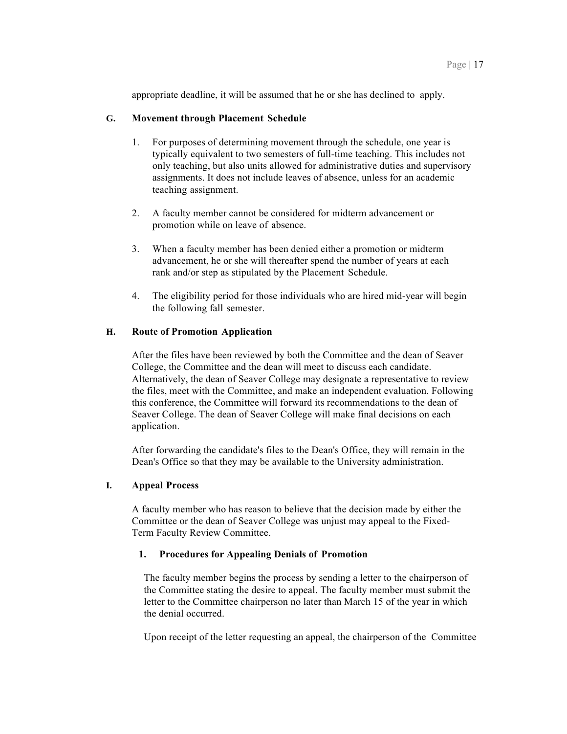appropriate deadline, it will be assumed that he or she has declined to apply.

# **G. Movement through Placement Schedule**

- 1. For purposes of determining movement through the schedule, one year is only teaching, but also units allowed for administrative duties and supervisory assignments. It does not include leaves of absence, unless for an academic teaching assignment. typically equivalent to two semesters of full-time teaching. This includes not
- 2. A faculty member cannot be considered for midterm advancement or promotion while on leave of absence.
- 3. When a faculty member has been denied either a promotion or midterm advancement, he or she will thereafter spend the number of years at each rank and/or step as stipulated by the Placement Schedule.
- 4. The eligibility period for those individuals who are hired mid-year will begin the following fall semester.

#### **H. Route of Promotion Application**

 After the files have been reviewed by both the Committee and the dean of Seaver College, the Committee and the dean will meet to discuss each candidate. Alternatively, the dean of Seaver College may designate a representative to review the files, meet with the Committee, and make an independent evaluation. Following Seaver College. The dean of Seaver College will make final decisions on each this conference, the Committee will forward its recommendations to the dean of application.

 After forwarding the candidate's files to the Dean's Office, they will remain in the Dean's Office so that they may be available to the University administration.

#### **I. Appeal Process**

 A faculty member who has reason to believe that the decision made by either the Committee or the dean of Seaver College was unjust may appeal to the Fixed-Term Faculty Review Committee.

#### **1. Procedures for Appealing Denials of Promotion**

 The faculty member begins the process by sending a letter to the chairperson of the Committee stating the desire to appeal. The faculty member must submit the letter to the Committee chairperson no later than March 15 of the year in which the denial occurred.

Upon receipt of the letter requesting an appeal, the chairperson of the Committee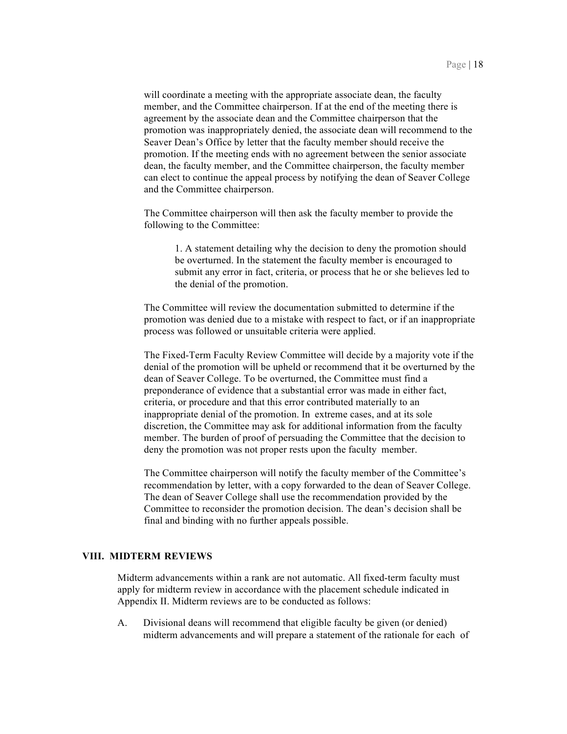will coordinate a meeting with the appropriate associate dean, the faculty member, and the Committee chairperson. If at the end of the meeting there is agreement by the associate dean and the Committee chairperson that the promotion was inappropriately denied, the associate dean will recommend to the Seaver Dean's Office by letter that the faculty member should receive the promotion. If the meeting ends with no agreement between the senior associate dean, the faculty member, and the Committee chairperson, the faculty member can elect to continue the appeal process by notifying the dean of Seaver College and the Committee chairperson.

 The Committee chairperson will then ask the faculty member to provide the following to the Committee:

 1. A statement detailing why the decision to deny the promotion should be overturned. In the statement the faculty member is encouraged to submit any error in fact, criteria, or process that he or she believes led to the denial of the promotion.

 The Committee will review the documentation submitted to determine if the promotion was denied due to a mistake with respect to fact, or if an inappropriate process was followed or unsuitable criteria were applied.

 The Fixed-Term Faculty Review Committee will decide by a majority vote if the denial of the promotion will be upheld or recommend that it be overturned by the dean of Seaver College. To be overturned, the Committee must find a preponderance of evidence that a substantial error was made in either fact, criteria, or procedure and that this error contributed materially to an inappropriate denial of the promotion. In extreme cases, and at its sole discretion, the Committee may ask for additional information from the faculty member. The burden of proof of persuading the Committee that the decision to deny the promotion was not proper rests upon the faculty member.

 The Committee chairperson will notify the faculty member of the Committee's recommendation by letter, with a copy forwarded to the dean of Seaver College. The dean of Seaver College shall use the recommendation provided by the Committee to reconsider the promotion decision. The dean's decision shall be final and binding with no further appeals possible.

#### **VIII. MIDTERM REVIEWS**

 Midterm advancements within a rank are not automatic. All fixed-term faculty must apply for midterm review in accordance with the placement schedule indicated in Appendix II. Midterm reviews are to be conducted as follows:

 A. Divisional deans will recommend that eligible faculty be given (or denied) midterm advancements and will prepare a statement of the rationale for each of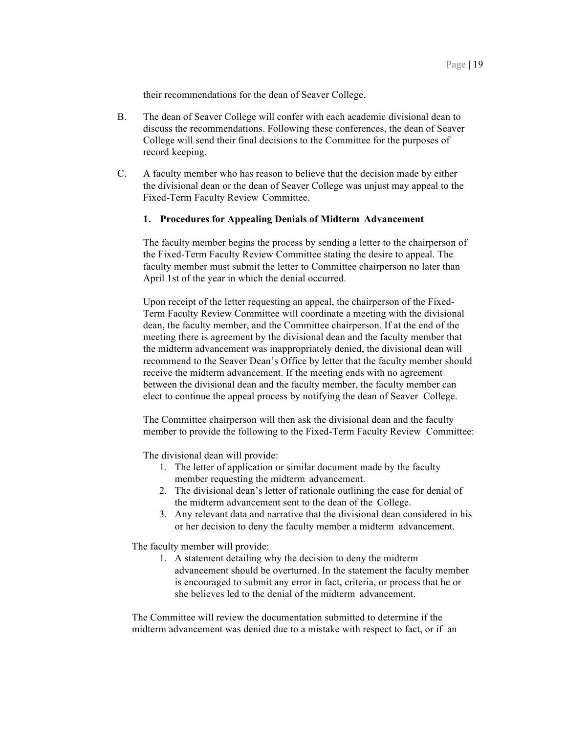their recommendations for the dean of Seaver College.

- B. The dean of Seaver College will confer with each academic divisional dean to discuss the recommendations. Following these conferences, the dean of Seaver College will send their final decisions to the Committee for the purposes of record keeping.
- C. A faculty member who has reason to believe that the decision made by either Fixed-Term Faculty Review Committee. the divisional dean or the dean of Seaver College was unjust may appeal to the

#### **1. Procedures for Appealing Denials of Midterm Advancement**

 The faculty member begins the process by sending a letter to the chairperson of the Fixed-Term Faculty Review Committee stating the desire to appeal. The faculty member must submit the letter to Committee chairperson no later than April 1st of the year in which the denial occurred.

 Upon receipt of the letter requesting an appeal, the chairperson of the Fixed- Term Faculty Review Committee will coordinate a meeting with the divisional dean, the faculty member, and the Committee chairperson. If at the end of the meeting there is agreement by the divisional dean and the faculty member that recommend to the Seaver Dean's Office by letter that the faculty member should receive the midterm advancement. If the meeting ends with no agreement between the divisional dean and the faculty member, the faculty member can elect to continue the appeal process by notifying the dean of Seaver College. the midterm advancement was inappropriately denied, the divisional dean will

 The Committee chairperson will then ask the divisional dean and the faculty member to provide the following to the Fixed-Term Faculty Review Committee:

The divisional dean will provide:

- 1. The letter of application or similar document made by the faculty member requesting the midterm advancement.
- the midterm advancement sent to the dean of the College. 2. The divisional dean's letter of rationale outlining the case for denial of
- 3. Any relevant data and narrative that the divisional dean considered in his or her decision to deny the faculty member a midterm advancement.

The faculty member will provide:

 1. A statement detailing why the decision to deny the midterm advancement should be overturned. In the statement the faculty member she believes led to the denial of the midterm advancement. is encouraged to submit any error in fact, criteria, or process that he or

 The Committee will review the documentation submitted to determine if the midterm advancement was denied due to a mistake with respect to fact, or if an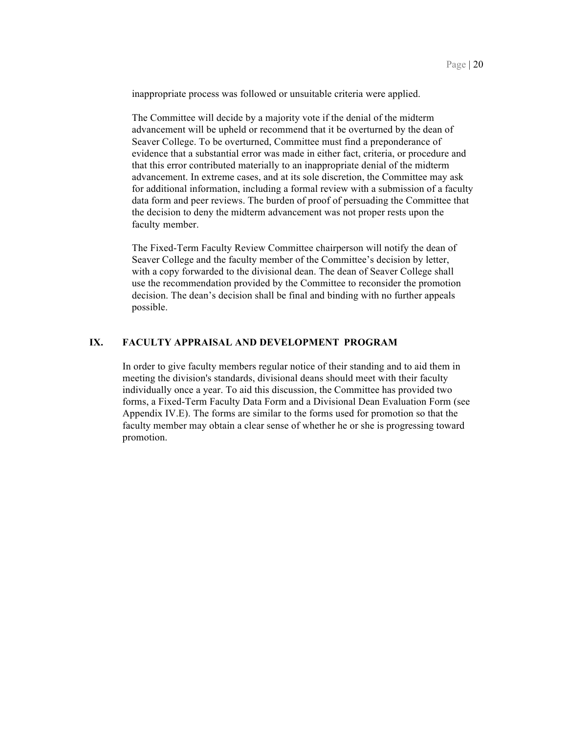inappropriate process was followed or unsuitable criteria were applied.

 The Committee will decide by a majority vote if the denial of the midterm advancement will be upheld or recommend that it be overturned by the dean of Seaver College. To be overturned, Committee must find a preponderance of evidence that a substantial error was made in either fact, criteria, or procedure and advancement. In extreme cases, and at its sole discretion, the Committee may ask for additional information, including a formal review with a submission of a faculty data form and peer reviews. The burden of proof of persuading the Committee that the decision to deny the midterm advancement was not proper rests upon the faculty member. faculty member. that this error contributed materially to an inappropriate denial of the midterm

 The Fixed-Term Faculty Review Committee chairperson will notify the dean of Seaver College and the faculty member of the Committee's decision by letter, with a copy forwarded to the divisional dean. The dean of Seaver College shall use the recommendation provided by the Committee to reconsider the promotion decision. The dean's decision shall be final and binding with no further appeals possible.

#### **IX. FACULTY APPRAISAL AND DEVELOPMENT PROGRAM**

 In order to give faculty members regular notice of their standing and to aid them in meeting the division's standards, divisional deans should meet with their faculty forms, a Fixed-Term Faculty Data Form and a Divisional Dean Evaluation Form (see Appendix IV.E). The forms are similar to the forms used for promotion so that the faculty member may obtain a clear sense of whether he or she is progressing toward individually once a year. To aid this discussion, the Committee has provided two promotion.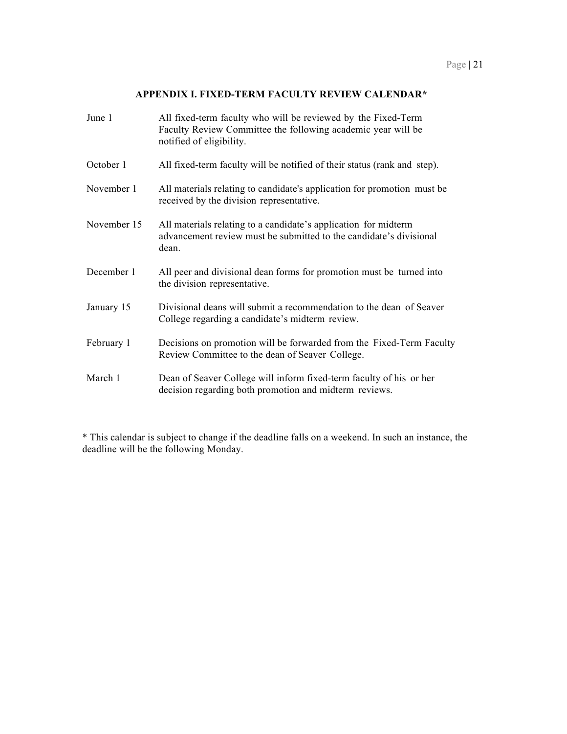#### **APPENDIX I. FIXED-TERM FACULTY REVIEW CALENDAR\***

| June 1      | All fixed-term faculty who will be reviewed by the Fixed-Term<br>Faculty Review Committee the following academic year will be<br>notified of eligibility. |
|-------------|-----------------------------------------------------------------------------------------------------------------------------------------------------------|
| October 1   | All fixed-term faculty will be notified of their status (rank and step).                                                                                  |
| November 1  | All materials relating to candidate's application for promotion must be<br>received by the division representative.                                       |
| November 15 | All materials relating to a candidate's application for midterm<br>advancement review must be submitted to the candidate's divisional<br>dean.            |
| December 1  | All peer and divisional dean forms for promotion must be turned into<br>the division representative.                                                      |
| January 15  | Divisional deans will submit a recommendation to the dean of Seaver<br>College regarding a candidate's midterm review.                                    |
| February 1  | Decisions on promotion will be forwarded from the Fixed-Term Faculty<br>Review Committee to the dean of Seaver College.                                   |
| March 1     | Dean of Seaver College will inform fixed-term faculty of his or her<br>decision regarding both promotion and midterm reviews.                             |

\* This calendar is subject to change if the deadline falls on a weekend. In such an instance, the deadline will be the following Monday.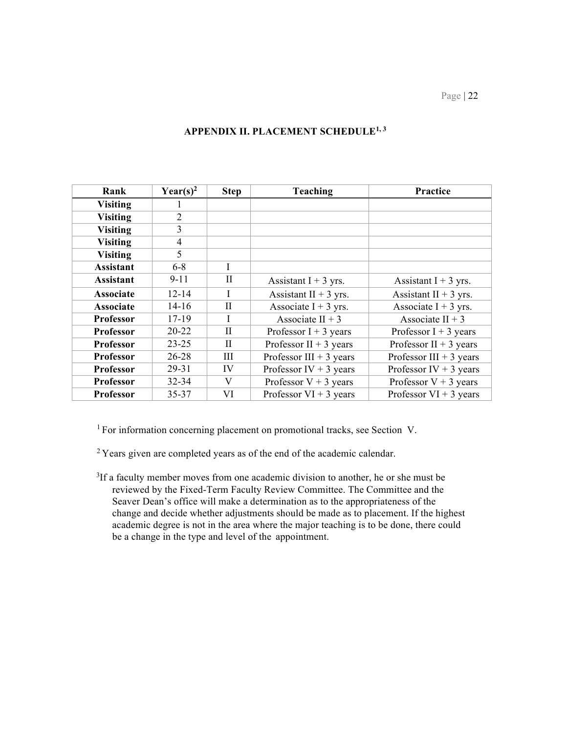| Rank             | Year(s) <sup>2</sup> | <b>Step</b>  | Teaching                 | Practice                 |
|------------------|----------------------|--------------|--------------------------|--------------------------|
| <b>Visiting</b>  |                      |              |                          |                          |
| <b>Visiting</b>  | 2                    |              |                          |                          |
| <b>Visiting</b>  | 3                    |              |                          |                          |
| <b>Visiting</b>  | $\overline{4}$       |              |                          |                          |
| <b>Visiting</b>  | 5                    |              |                          |                          |
| <b>Assistant</b> | $6 - 8$              | I            |                          |                          |
| <b>Assistant</b> | $9 - 11$             | П            | Assistant $I + 3$ yrs.   | Assistant $I + 3$ yrs.   |
| <b>Associate</b> | 12-14                |              | Assistant II + $3$ yrs.  | Assistant II + $3$ yrs.  |
| <b>Associate</b> | $14 - 16$            | $\rm II$     | Associate I + 3 yrs.     | Associate $I + 3$ yrs.   |
| <b>Professor</b> | 17-19                |              | Associate II + $3$       | Associate II + $3$       |
| <b>Professor</b> | $20 - 22$            | $\rm II$     | Professor $I + 3$ years  | Professor $I + 3$ years  |
| Professor        | $23 - 25$            | $\mathbf{I}$ | Professor II + 3 years   | Professor II + 3 years   |
| <b>Professor</b> | 26-28                | Ш            | Professor III + 3 years  | Professor III + 3 years  |
| <b>Professor</b> | $29 - 31$            | IV           | Professor IV + 3 years   | Professor IV + 3 years   |
| <b>Professor</b> | $32 - 34$            | V            | Professor $V + 3$ years  | Professor $V + 3$ years  |
| <b>Professor</b> | 35-37                | VI           | Professor $VI + 3$ years | Professor $VI + 3$ years |

# **APPENDIX II. PLACEMENT SCHEDULE1, 3**

<sup>1</sup> For information concerning placement on promotional tracks, see Section V.

 $2$ <sup>2</sup> Years given are completed years as of the end of the academic calendar.

<sup>3</sup>If a faculty member moves from one academic division to another, he or she must be reviewed by the Fixed-Term Faculty Review Committee. The Committee and the Seaver Dean's office will make a determination as to the appropriateness of the change and decide whether adjustments should be made as to placement. If the highest academic degree is not in the area where the major teaching is to be done, there could be a change in the type and level of the appointment.

Page | 22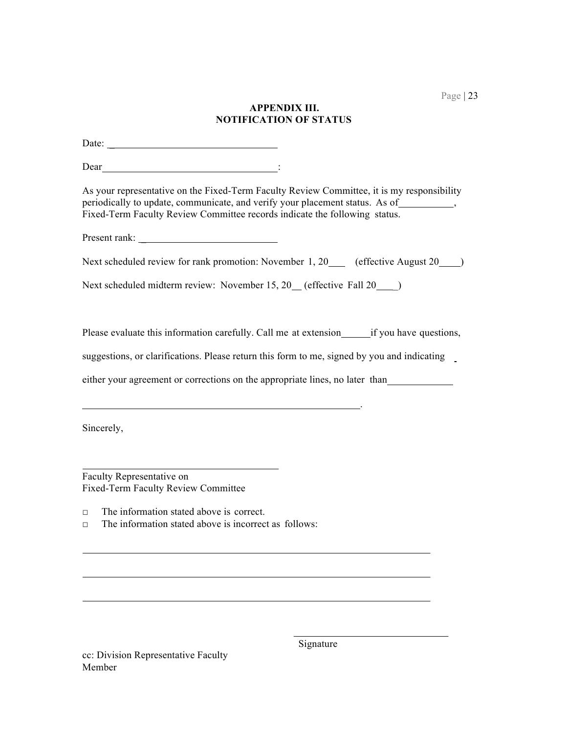# **APPENDIX III. NOTIFICATION OF STATUS**

Date:

Dear : in the set of the set of the set of the set of the set of the set of the set of the set of the set of the set of the set of the set of the set of the set of the set of the set of the set of the set of the set of the

 As your representative on the Fixed-Term Faculty Review Committee, it is my responsibility periodically to update, communicate, and verify your placement status. As of  $\qquad \qquad$ , Fixed-Term Faculty Review Committee records indicate the following status.

Present rank: \_

Next scheduled review for rank promotion: November 1, 20 (effective August 20 )

Next scheduled midterm review: November 15, 20 (effective Fall 20 \_\_\_\_)

Please evaluate this information carefully. Call me at extension\_\_\_\_\_\_\_if you have questions,

suggestions, or clarifications. Please return this form to me, signed by you and indicating

either your agreement or corrections on the appropriate lines, no later than

Sincerely,

l,

 Fixed-Term Faculty Review Committee Faculty Representative on

□ The information stated above is correct.

□ The information stated above is incorrect as follows:

 cc: Division Representative Faculty Member

Signature

.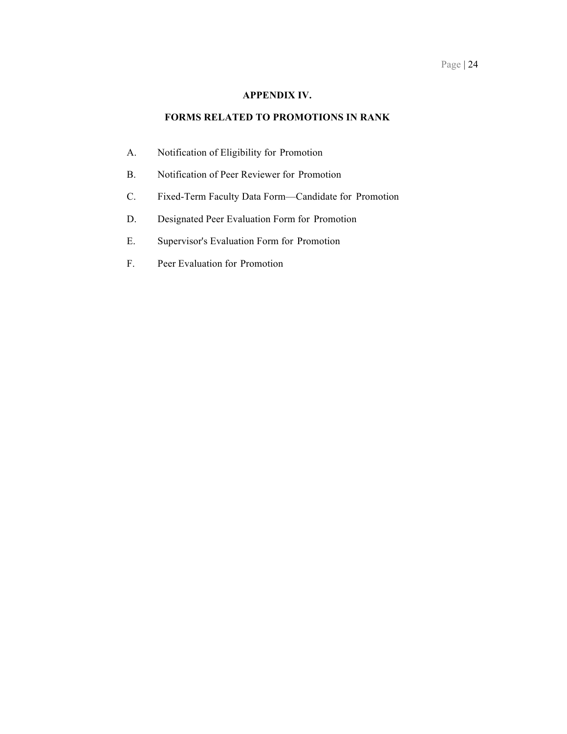# **APPENDIX IV.**

#### **FORMS RELATED TO PROMOTIONS IN RANK**

- A. Notification of Eligibility for Promotion
- B. Notification of Peer Reviewer for Promotion
- C. Fixed-Term Faculty Data Form—Candidate for Promotion
- D. Designated Peer Evaluation Form for Promotion
- E. Supervisor's Evaluation Form for Promotion
- F. Peer Evaluation for Promotion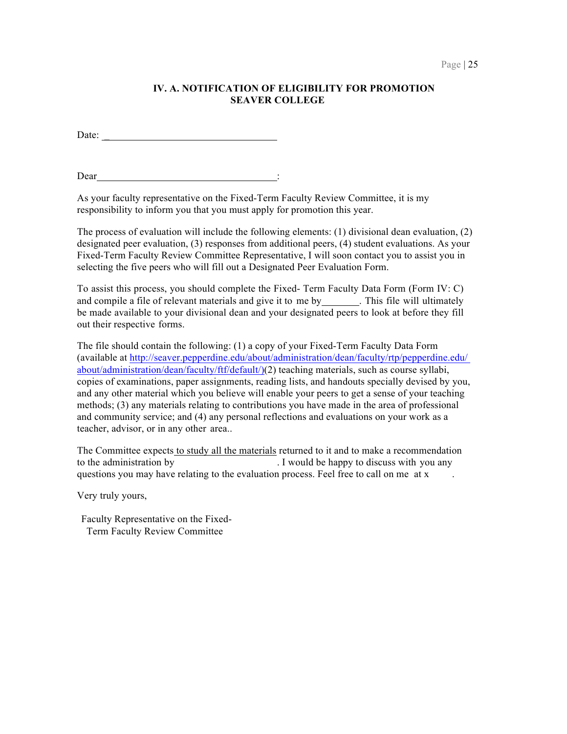# **IV. A. NOTIFICATION OF ELIGIBILITY FOR PROMOTION SEAVER COLLEGE**

Date:  $\overline{\phantom{a}}$ 

Dear :

 As your faculty representative on the Fixed-Term Faculty Review Committee, it is my responsibility to inform you that you must apply for promotion this year.

 The process of evaluation will include the following elements: (1) divisional dean evaluation, (2) designated peer evaluation, (3) responses from additional peers, (4) student evaluations. As your Fixed-Term Faculty Review Committee Representative, I will soon contact you to assist you in selecting the five peers who will fill out a Designated Peer Evaluation Form.

 To assist this process, you should complete the Fixed- Term Faculty Data Form (Form IV: C) and compile a file of relevant materials and give it to me by \_\_\_\_\_\_\_. This file will ultimately be made available to your divisional dean and your designated peers to look at before they fill out their respective forms.

 The file should contain the following: (1) a copy of your Fixed-Term Faculty Data Form (available at<http://seaver.pepperdine.edu/about/administration/dean/faculty/rtp/pepperdine.edu>/ about/administration/dean/faculty/ftf/default/)(2) teaching materials, such as course syllabi, copies of examinations, paper assignments, reading lists, and handouts specially devised by you, and any other material which you believe will enable your peers to get a sense of your teaching methods; (3) any materials relating to contributions you have made in the area of professional and community service; and (4) any personal reflections and evaluations on your work as a teacher, advisor, or in any other area..

The Committee expects to study all the materials returned to it and to make a recommendation to the administration by questions you may have relating to the evaluation process. Feel free to call on me at x . I would be happy to discuss with you any

Very truly yours,

 Faculty Representative on the Fixed-Term Faculty Review Committee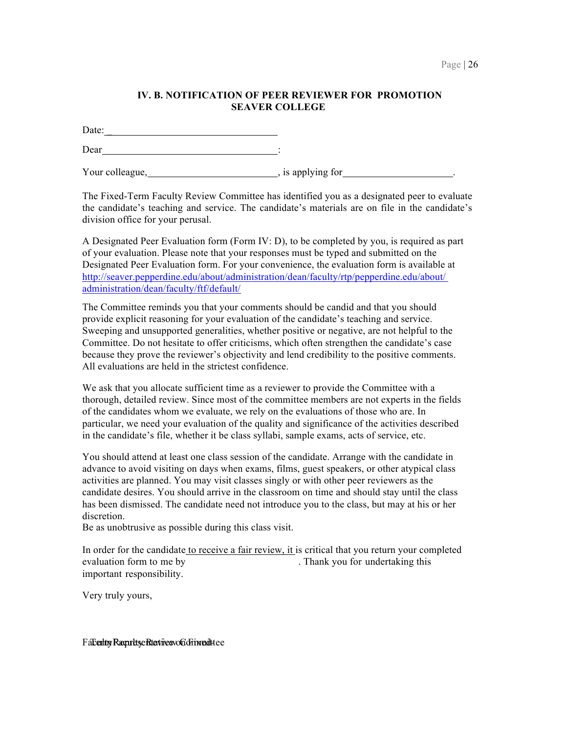# **IV. B. NOTIFICATION OF PEER REVIEWER FOR PROMOTION SEAVER COLLEGE**

Date:

Dear :

Your colleague, https://www.facebook.com/intervalue.com/intervalue.com/intervalue.com/intervalue.com/intervalue.com/intervalue.com/intervalue.com/intervalue.com/intervalue.com/intervalue.com/intervalue.com/intervalue.com/i

 The Fixed-Term Faculty Review Committee has identified you as a designated peer to evaluate the candidate's teaching and service. The candidate's materials are on file in the candidate's division office for your perusal.

 A Designated Peer Evaluation form (Form IV: D), to be completed by you, is required as part of your evaluation. Please note that your responses must be typed and submitted on the Designated Peer Evaluation form. For your convenience, the evaluation form is available at <http://seaver.pepperdine.edu/about/administration/dean/faculty/rtp/pepperdine.edu/about>/ administration/dean/faculty/ftf/default/

 The Committee reminds you that your comments should be candid and that you should provide explicit reasoning for your evaluation of the candidate's teaching and service. Sweeping and unsupported generalities, whether positive or negative, are not helpful to the Committee. Do not hesitate to offer criticisms, which often strengthen the candidate's case because they prove the reviewer's objectivity and lend credibility to the positive comments. All evaluations are held in the strictest confidence.

 We ask that you allocate sufficient time as a reviewer to provide the Committee with a of the candidates whom we evaluate, we rely on the evaluations of those who are. In thorough, detailed review. Since most of the committee members are not experts in the fields particular, we need your evaluation of the quality and significance of the activities described in the candidate's file, whether it be class syllabi, sample exams, acts of service, etc.

 You should attend at least one class session of the candidate. Arrange with the candidate in advance to avoid visiting on days when exams, films, guest speakers, or other atypical class activities are planned. You may visit classes singly or with other peer reviewers as the candidate desires. You should arrive in the classroom on time and should stay until the class has been dismissed. The candidate need not introduce you to the class, but may at his or her discretion.

Be as unobtrusive as possible during this class visit.

evaluation form to me by In order for the candidate to receive a fair review, it is critical that you return your completed . Thank you for undertaking this important responsibility.

Very truly yours,

Fa**Eerliny Raepritsye RtatiivesvoCo Frimmedittee**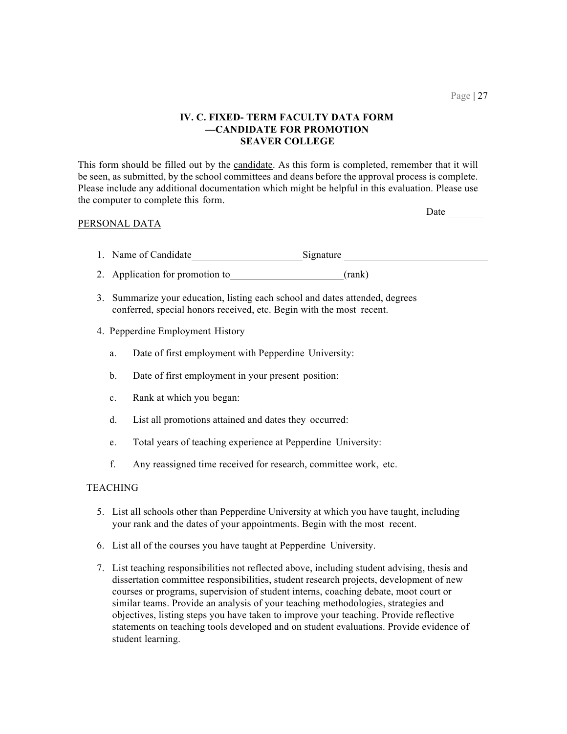# **IV. C. FIXED- TERM FACULTY DATA FORM —CANDIDATE FOR PROMOTION SEAVER COLLEGE**

This form should be filled out by the candidate. As this form is completed, remember that it will be seen, as submitted, by the school committees and deans before the approval process is complete. Please include any additional documentation which might be helpful in this evaluation. Please use the computer to complete this form.

#### PERSONAL DATA

Date

- 1. Name of Candidate Signature
- 2. Application for promotion to (rank)
- 3. Summarize your education, listing each school and dates attended, degrees conferred, special honors received, etc. Begin with the most recent.
- 4. Pepperdine Employment History
	- a. Date of first employment with Pepperdine University:
	- b. Date of first employment in your present position:
	- c. Rank at which you began:
	- d. List all promotions attained and dates they occurred:
	- e. Total years of teaching experience at Pepperdine University:
	- f. Any reassigned time received for research, committee work, etc.

#### TEACHING

- 5. List all schools other than Pepperdine University at which you have taught, including your rank and the dates of your appointments. Begin with the most recent.
- 6. List all of the courses you have taught at Pepperdine University.
- 7. List teaching responsibilities not reflected above, including student advising, thesis and dissertation committee responsibilities, student research projects, development of new courses or programs, supervision of student interns, coaching debate, moot court or similar teams. Provide an analysis of your teaching methodologies, strategies and objectives, listing steps you have taken to improve your teaching. Provide reflective statements on teaching tools developed and on student evaluations. Provide evidence of student learning.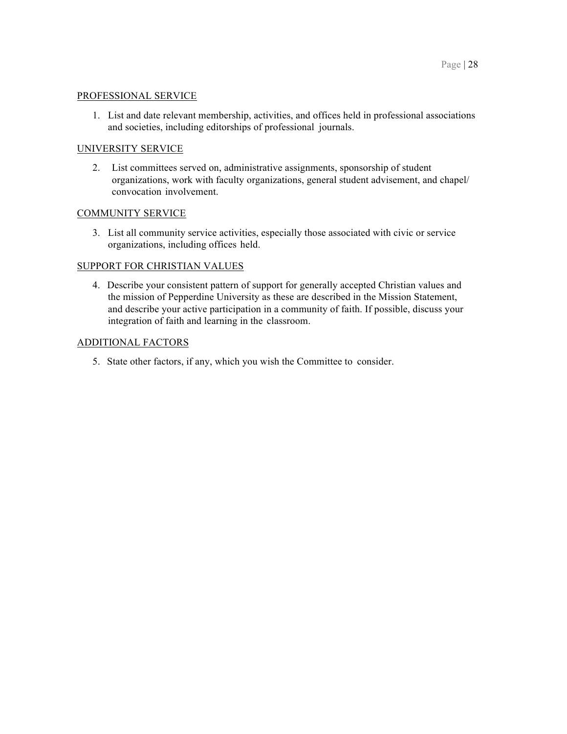#### PROFESSIONAL SERVICE

 1. List and date relevant membership, activities, and offices held in professional associations and societies, including editorships of professional journals.

# UNIVERSITY SERVICE

 2. List committees served on, administrative assignments, sponsorship of student organizations, work with faculty organizations, general student advisement, and chapel/ convocation involvement.

# COMMUNITY SERVICE

 3. List all community service activities, especially those associated with civic or service organizations, including offices held.

# SUPPORT FOR CHRISTIAN VALUES

 4. Describe your consistent pattern of support for generally accepted Christian values and and describe your active participation in a community of faith. If possible, discuss your integration of faith and learning in the classroom. the mission of Pepperdine University as these are described in the Mission Statement,

#### ADDITIONAL FACTORS

5. State other factors, if any, which you wish the Committee to consider.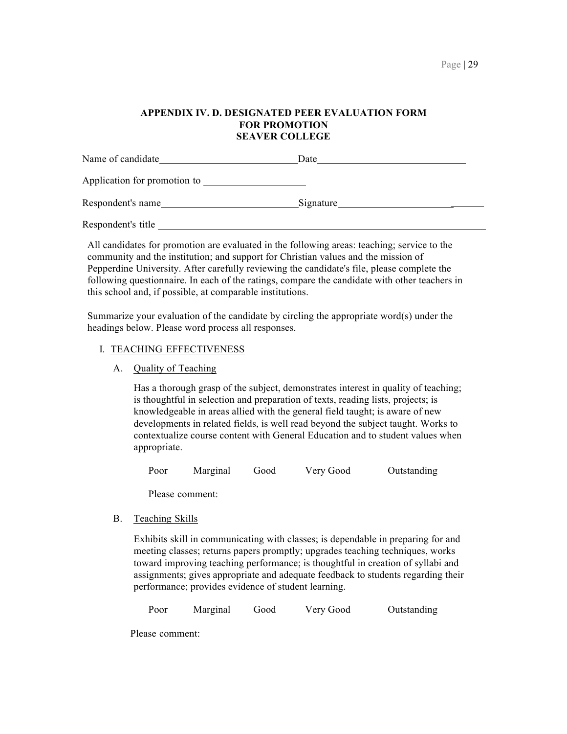#### **APPENDIX IV. D. DESIGNATED PEER EVALUATION FORM FOR PROMOTION SEAVER COLLEGE**

| Name of candidate_           | Date      |  |
|------------------------------|-----------|--|
| Application for promotion to |           |  |
| Respondent's name            | Signature |  |
| Respondent's title           |           |  |

 All candidates for promotion are evaluated in the following areas: teaching; service to the community and the institution; and support for Christian values and the mission of Pepperdine University. After carefully reviewing the candidate's file, please complete the following questionnaire. In each of the ratings, compare the candidate with other teachers in this school and, if possible, at comparable institutions.

 Summarize your evaluation of the candidate by circling the appropriate word(s) under the headings below. Please word process all responses.

#### I. TEACHING EFFECTIVENESS

A. Quality of Teaching

 Has a thorough grasp of the subject, demonstrates interest in quality of teaching; knowledgeable in areas allied with the general field taught; is aware of new developments in related fields, is well read beyond the subject taught. Works to contextualize course content with General Education and to student values when is thoughtful in selection and preparation of texts, reading lists, projects; is appropriate.

Marginal Poor Marginal Good Very Good Outstanding

Please comment:

B. Teaching Skills

 Exhibits skill in communicating with classes; is dependable in preparing for and meeting classes; returns papers promptly; upgrades teaching techniques, works assignments; gives appropriate and adequate feedback to students regarding their performance; provides evidence of student learning. toward improving teaching performance; is thoughtful in creation of syllabi and

Marginal Poor Marginal Good Very Good Outstanding

Please comment: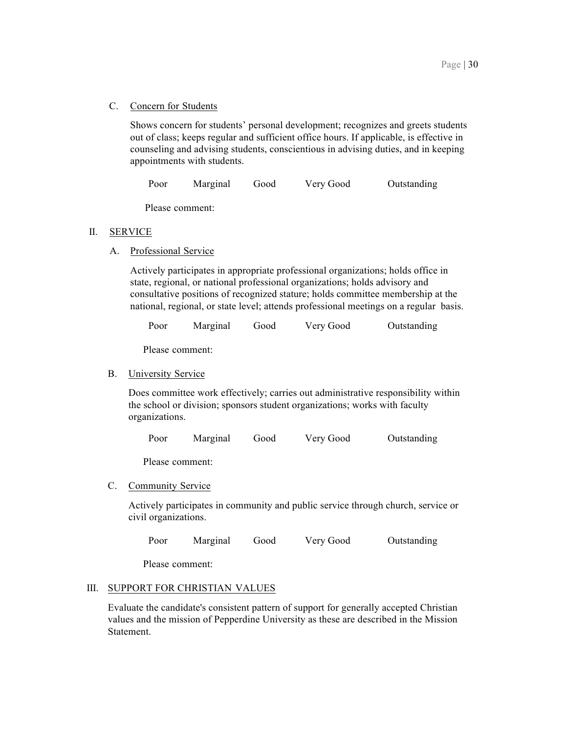C. Concern for Students

 Shows concern for students' personal development; recognizes and greets students out of class; keeps regular and sufficient office hours. If applicable, is effective in counseling and advising students, conscientious in advising duties, and in keeping appointments with students.

Marginal Poor Marginal Good Very Good Outstanding

Please comment:

# II. SERVICE

A. Professional Service

 Actively participates in appropriate professional organizations; holds office in state, regional, or national professional organizations; holds advisory and consultative positions of recognized stature; holds committee membership at the national, regional, or state level; attends professional meetings on a regular basis.

Marginal Poor Marginal Good Very Good Outstanding

Please comment:

B. University Service

 Does committee work effectively; carries out administrative responsibility within the school or division; sponsors student organizations; works with faculty organizations.

Marginal Poor Marginal Good Very Good Outstanding

Please comment:

C. Community Service

 Actively participates in community and public service through church, service or civil organizations.

Marginal Poor Marginal Good Very Good Outstanding

Please comment:

# III. SUPPORT FOR CHRISTIAN VALUES

 Evaluate the candidate's consistent pattern of support for generally accepted Christian values and the mission of Pepperdine University as these are described in the Mission Statement.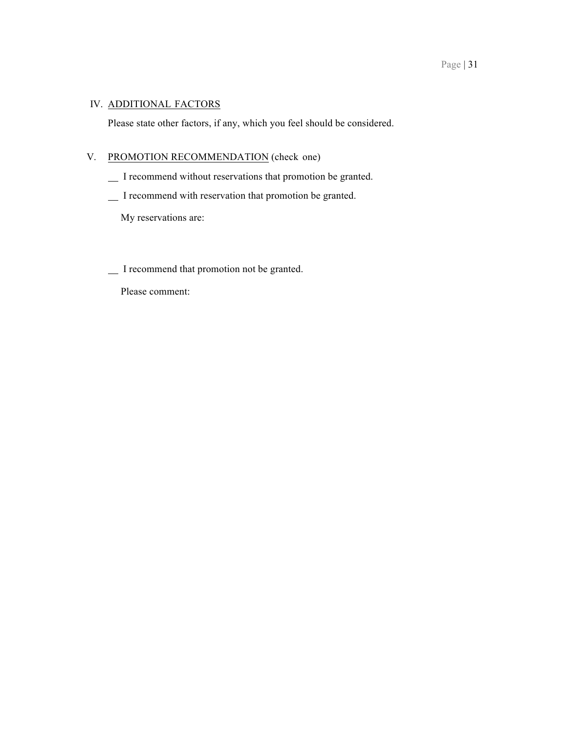# IV. ADDITIONAL FACTORS

Please state other factors, if any, which you feel should be considered.

#### V. PROMOTION RECOMMENDATION (check one)

- I recommend without reservations that promotion be granted.
- I recommend with reservation that promotion be granted.

My reservations are:

I recommend that promotion not be granted.

Please comment: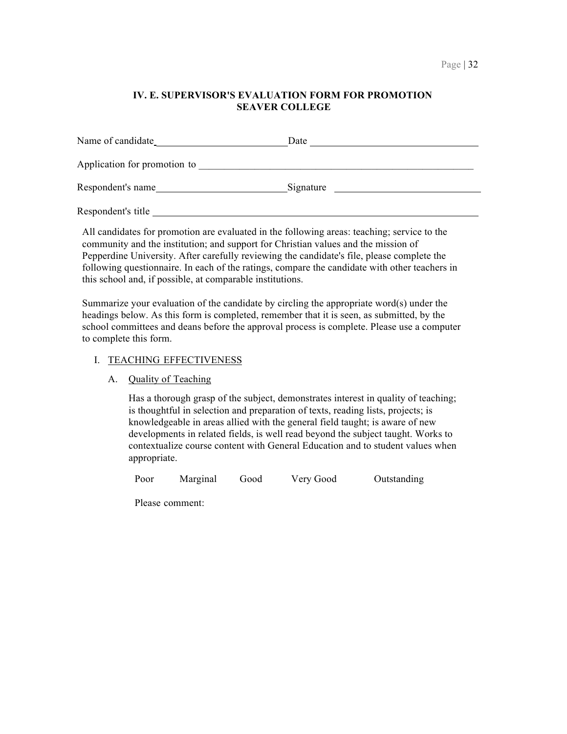# **IV. E. SUPERVISOR'S EVALUATION FORM FOR PROMOTION SEAVER COLLEGE**

| Name of candidate            | Date      |
|------------------------------|-----------|
| Application for promotion to |           |
| Respondent's name            | Signature |
| Respondent's title           |           |

 All candidates for promotion are evaluated in the following areas: teaching; service to the community and the institution; and support for Christian values and the mission of Pepperdine University. After carefully reviewing the candidate's file, please complete the following questionnaire. In each of the ratings, compare the candidate with other teachers in this school and, if possible, at comparable institutions.

 Summarize your evaluation of the candidate by circling the appropriate word(s) under the school committees and deans before the approval process is complete. Please use a computer headings below. As this form is completed, remember that it is seen, as submitted, by the to complete this form.

#### I. TEACHING EFFECTIVENESS

# A. Quality of Teaching

 Has a thorough grasp of the subject, demonstrates interest in quality of teaching; knowledgeable in areas allied with the general field taught; is aware of new developments in related fields, is well read beyond the subject taught. Works to contextualize course content with General Education and to student values when is thoughtful in selection and preparation of texts, reading lists, projects; is appropriate.

Marginal Poor Marginal Good Very Good Outstanding

Please comment: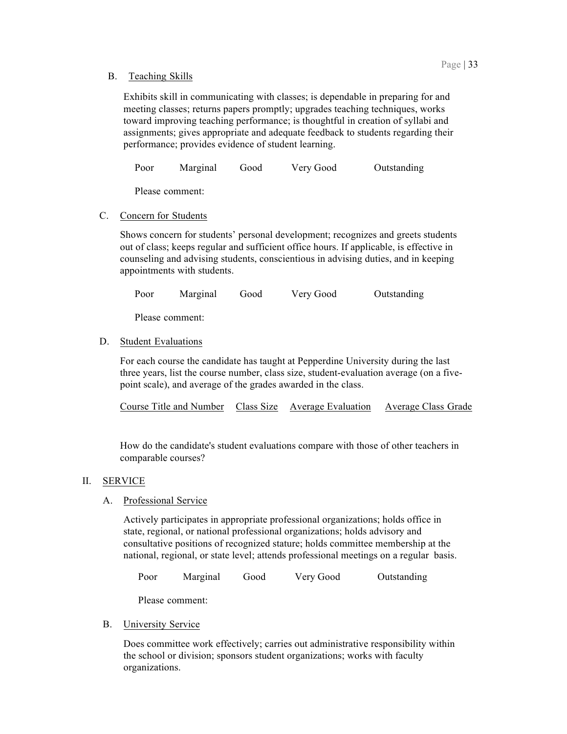# B. Teaching Skills

 Exhibits skill in communicating with classes; is dependable in preparing for and meeting classes; returns papers promptly; upgrades teaching techniques, works assignments; gives appropriate and adequate feedback to students regarding their performance; provides evidence of student learning. toward improving teaching performance; is thoughtful in creation of syllabi and

Marginal Poor Marginal Good Very Good Outstanding

Please comment:

# C. Concern for Students

 Shows concern for students' personal development; recognizes and greets students out of class; keeps regular and sufficient office hours. If applicable, is effective in counseling and advising students, conscientious in advising duties, and in keeping appointments with students.

Marginal Poor Marginal Good Very Good Outstanding

Please comment:

# D. Student Evaluations

 For each course the candidate has taught at Pepperdine University during the last three years, list the course number, class size, student-evaluation average (on a five-point scale), and average of the grades awarded in the class.

| Course Title and Number Class Size Average Evaluation |  |  | Average Class Grade |
|-------------------------------------------------------|--|--|---------------------|
|-------------------------------------------------------|--|--|---------------------|

 How do the candidate's student evaluations compare with those of other teachers in comparable courses?

# II. SERVICE

# A. Professional Service

 Actively participates in appropriate professional organizations; holds office in state, regional, or national professional organizations; holds advisory and consultative positions of recognized stature; holds committee membership at the national, regional, or state level; attends professional meetings on a regular basis.

Marginal Poor Marginal Good Very Good Outstanding

Please comment:

# B. University Service

 Does committee work effectively; carries out administrative responsibility within the school or division; sponsors student organizations; works with faculty organizations.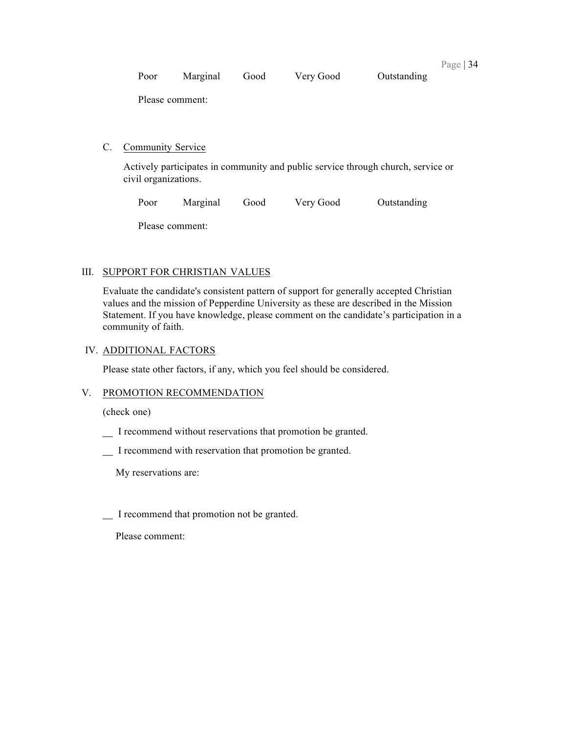| Poor | Marginal | Good | Very Good | Outstanding |  |
|------|----------|------|-----------|-------------|--|
|      |          |      |           |             |  |

Please comment:

# C. Community Service

 Actively participates in community and public service through church, service or civil organizations.

Marginal Poor Marginal Good Very Good Outstanding

Please comment:

# III. SUPPORT FOR CHRISTIAN VALUES

 Evaluate the candidate's consistent pattern of support for generally accepted Christian values and the mission of Pepperdine University as these are described in the Mission Statement. If you have knowledge, please comment on the candidate's participation in a community of faith.

# IV. ADDITIONAL FACTORS

Please state other factors, if any, which you feel should be considered.

# V. PROMOTION RECOMMENDATION

(check one)

- I recommend without reservations that promotion be granted.
- I recommend with reservation that promotion be granted.

My reservations are:

I recommend that promotion not be granted.

Please comment: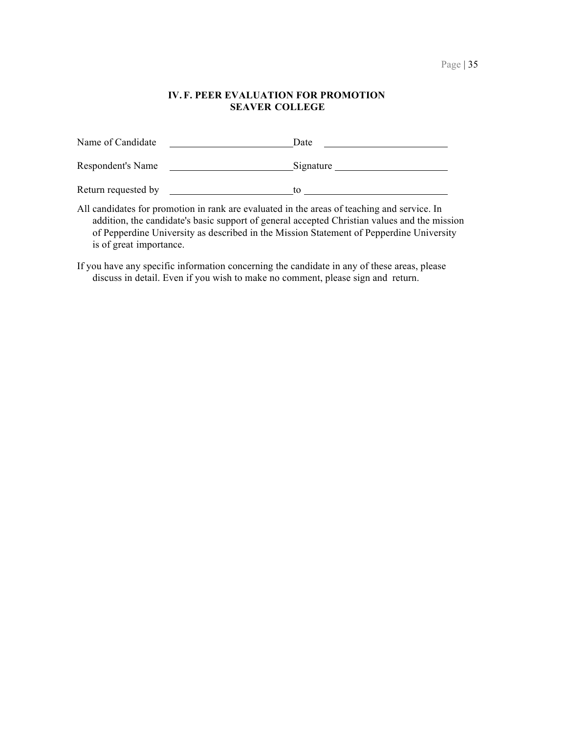## **IV. F. PEER EVALUATION FOR PROMOTION SEAVER COLLEGE**

| Name of Candidate   | Date      |  |
|---------------------|-----------|--|
| Respondent's Name   | Signature |  |
| Return requested by | tο        |  |

 All candidates for promotion in rank are evaluated in the areas of teaching and service. In addition, the candidate's basic support of general accepted Christian values and the mission of Pepperdine University as described in the Mission Statement of Pepperdine University is of great importance.

 If you have any specific information concerning the candidate in any of these areas, please discuss in detail. Even if you wish to make no comment, please sign and return.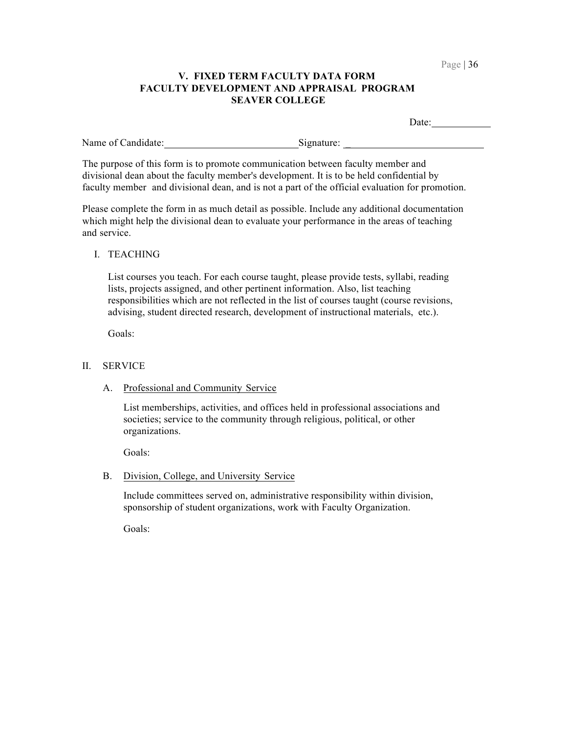# **V. FIXED TERM FACULTY DATA FORM FACULTY DEVELOPMENT AND APPRAISAL PROGRAM SEAVER COLLEGE**

|                    | Date:                                                                                                                                                                                                                                                                          |  |
|--------------------|--------------------------------------------------------------------------------------------------------------------------------------------------------------------------------------------------------------------------------------------------------------------------------|--|
| Name of Candidate: | Signature:                                                                                                                                                                                                                                                                     |  |
|                    | The purpose of this form is to promote communication between faculty member and<br>divisional dean about the faculty member's development. It is to be held confidential by<br>faculty member and divisional dean, and is not a part of the official evaluation for promotion. |  |
|                    | Please complete the form in as much detail as possible. Include any additional documentation                                                                                                                                                                                   |  |

 which might help the divisional dean to evaluate your performance in the areas of teaching and service.

I. TEACHING

 List courses you teach. For each course taught, please provide tests, syllabi, reading responsibilities which are not reflected in the list of courses taught (course revisions, advising, student directed research, development of instructional materials, etc.). lists, projects assigned, and other pertinent information. Also, list teaching

Goals:

#### II. SERVICE

A. Professional and Community Service

 List memberships, activities, and offices held in professional associations and societies; service to the community through religious, political, or other organizations.

Goals:

B. Division, College, and University Service

 Include committees served on, administrative responsibility within division, sponsorship of student organizations, work with Faculty Organization.

Goals: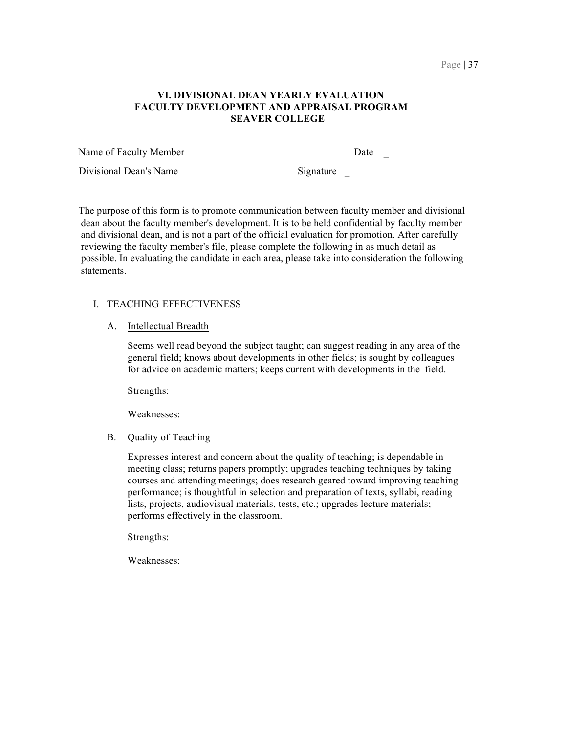# **FACULTY DEVELOPMENT AND APPRAISAL PROGRAM VI. DIVISIONAL DEAN YEARLY EVALUATION SEAVER COLLEGE**

| Name of Faculty Member | Date      |
|------------------------|-----------|
| Divisional Dean's Name | Signature |

 The purpose of this form is to promote communication between faculty member and divisional dean about the faculty member's development. It is to be held confidential by faculty member and divisional dean, and is not a part of the official evaluation for promotion. After carefully reviewing the faculty member's file, please complete the following in as much detail as possible. In evaluating the candidate in each area, please take into consideration the following statements.

# I. TEACHING EFFECTIVENESS

# A. Intellectual Breadth

 Seems well read beyond the subject taught; can suggest reading in any area of the general field; knows about developments in other fields; is sought by colleagues for advice on academic matters; keeps current with developments in the field.

Strengths:

Weaknesses:

# B. Quality of Teaching

 Expresses interest and concern about the quality of teaching; is dependable in meeting class; returns papers promptly; upgrades teaching techniques by taking courses and attending meetings; does research geared toward improving teaching performance; is thoughtful in selection and preparation of texts, syllabi, reading lists, projects, audiovisual materials, tests, etc.; upgrades lecture materials; performs effectively in the classroom.

Strengths:

Weaknesses: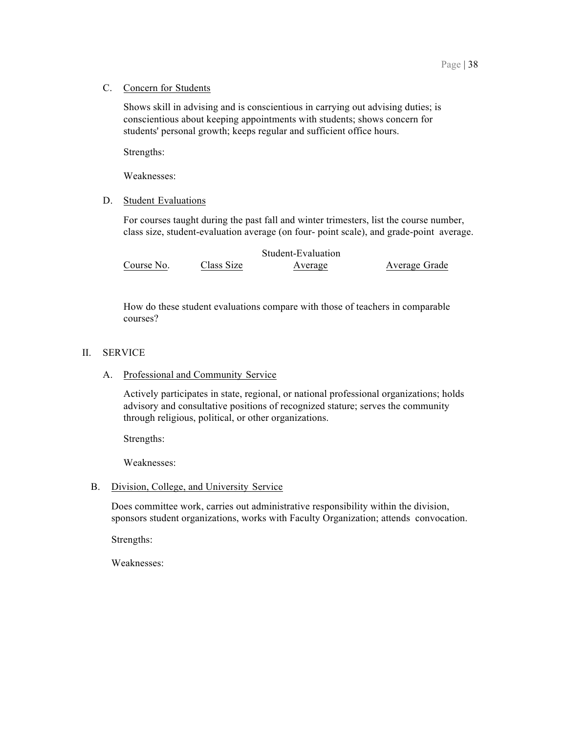# C. Concern for Students

 Shows skill in advising and is conscientious in carrying out advising duties; is conscientious about keeping appointments with students; shows concern for students' personal growth; keeps regular and sufficient office hours.

Strengths:

Weaknesses:

# D. Student Evaluations

 For courses taught during the past fall and winter trimesters, list the course number, class size, student-evaluation average (on four- point scale), and grade-point average.

|            |            | Student-Evaluation |               |
|------------|------------|--------------------|---------------|
| Course No. | Class Size | Average            | Average Grade |

 How do these student evaluations compare with those of teachers in comparable courses?

# II. SERVICE

# A. Professional and Community Service

 Actively participates in state, regional, or national professional organizations; holds advisory and consultative positions of recognized stature; serves the community through religious, political, or other organizations.

Strengths:

Weaknesses:

# B. Division, College, and University Service

 Does committee work, carries out administrative responsibility within the division, sponsors student organizations, works with Faculty Organization; attends convocation.

Strengths:

Weaknesses: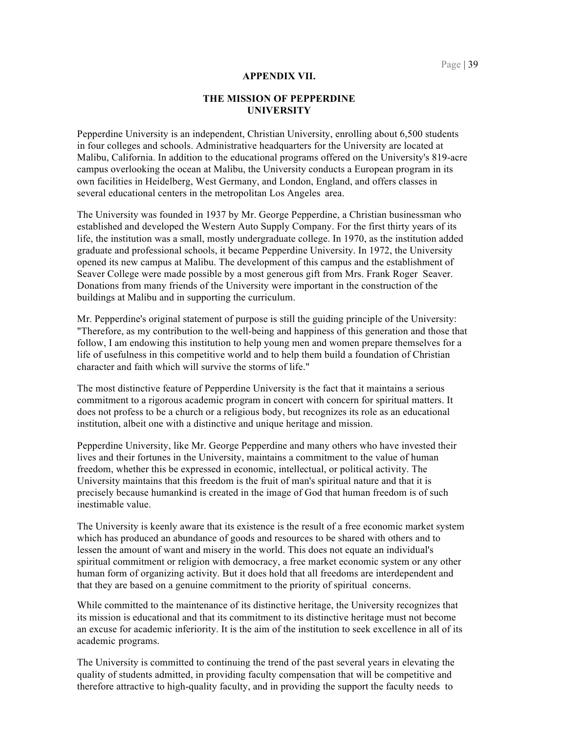#### **APPENDIX VII.**

#### **THE MISSION OF PEPPERDINE UNIVERSITY**

 Pepperdine University is an independent, Christian University, enrolling about 6,500 students Malibu, California. In addition to the educational programs offered on the University's 819-acre campus overlooking the ocean at Malibu, the University conducts a European program in its own facilities in Heidelberg, West Germany, and London, England, and offers classes in several educational centers in the metropolitan Los Angeles area. in four colleges and schools. Administrative headquarters for the University are located at

 The University was founded in 1937 by Mr. George Pepperdine, a Christian businessman who established and developed the Western Auto Supply Company. For the first thirty years of its graduate and professional schools, it became Pepperdine University. In 1972, the University opened its new campus at Malibu. The development of this campus and the establishment of Seaver College were made possible by a most generous gift from Mrs. Frank Roger Seaver. Donations from many friends of the University were important in the construction of the buildings at Malibu and in supporting the curriculum. life, the institution was a small, mostly undergraduate college. In 1970, as the institution added

 Mr. Pepperdine's original statement of purpose is still the guiding principle of the University: "Therefore, as my contribution to the well-being and happiness of this generation and those that follow, I am endowing this institution to help young men and women prepare themselves for a character and faith which will survive the storms of life." life of usefulness in this competitive world and to help them build a foundation of Christian

 The most distinctive feature of Pepperdine University is the fact that it maintains a serious commitment to a rigorous academic program in concert with concern for spiritual matters. It does not profess to be a church or a religious body, but recognizes its role as an educational institution, albeit one with a distinctive and unique heritage and mission.

 Pepperdine University, like Mr. George Pepperdine and many others who have invested their freedom, whether this be expressed in economic, intellectual, or political activity. The University maintains that this freedom is the fruit of man's spiritual nature and that it is precisely because humankind is created in the image of God that human freedom is of such lives and their fortunes in the University, maintains a commitment to the value of human inestimable value.

 which has produced an abundance of goods and resources to be shared with others and to spiritual commitment or religion with democracy, a free market economic system or any other human form of organizing activity. But it does hold that all freedoms are interdependent and that they are based on a genuine commitment to the priority of spiritual concerns. The University is keenly aware that its existence is the result of a free economic market system lessen the amount of want and misery in the world. This does not equate an individual's

 While committed to the maintenance of its distinctive heritage, the University recognizes that an excuse for academic inferiority. It is the aim of the institution to seek excellence in all of its academic programs. its mission is educational and that its commitment to its distinctive heritage must not become

 The University is committed to continuing the trend of the past several years in elevating the quality of students admitted, in providing faculty compensation that will be competitive and therefore attractive to high-quality faculty, and in providing the support the faculty needs to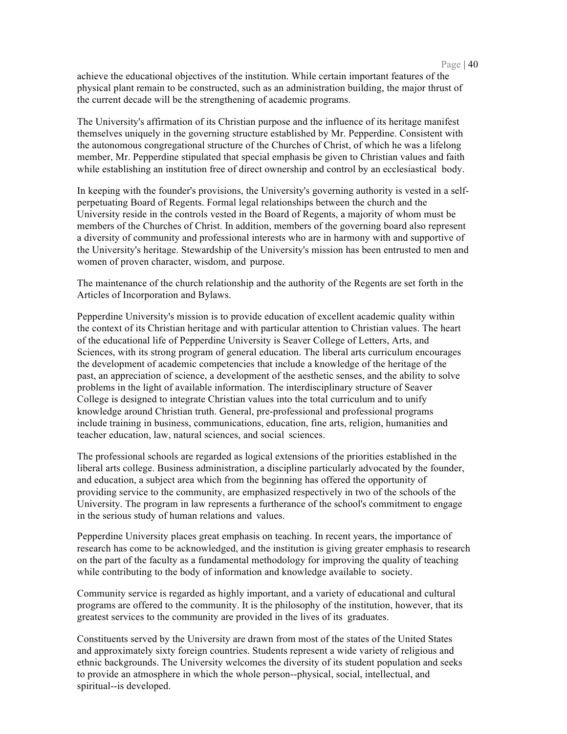achieve the educational objectives of the institution. While certain important features of the physical plant remain to be constructed, such as an administration building, the major thrust of the current decade will be the strengthening of academic programs.

 The University's affirmation of its Christian purpose and the influence of its heritage manifest member, Mr. Pepperdine stipulated that special emphasis be given to Christian values and faith themselves uniquely in the governing structure established by Mr. Pepperdine. Consistent with the autonomous congregational structure of the Churches of Christ, of which he was a lifelong while establishing an institution free of direct ownership and control by an ecclesiastical body.

 In keeping with the founder's provisions, the University's governing authority is vested in a self- perpetuating Board of Regents. Formal legal relationships between the church and the University reside in the controls vested in the Board of Regents, a majority of whom must be members of the Churches of Christ. In addition, members of the governing board also represent a diversity of community and professional interests who are in harmony with and supportive of women of proven character, wisdom, and purpose. the University's heritage. Stewardship of the University's mission has been entrusted to men and

 The maintenance of the church relationship and the authority of the Regents are set forth in the Articles of Incorporation and Bylaws.

 Pepperdine University's mission is to provide education of excellent academic quality within the context of its Christian heritage and with particular attention to Christian values. The heart of the educational life of Pepperdine University is Seaver College of Letters, Arts, and Sciences, with its strong program of general education. The liberal arts curriculum encourages the development of academic competencies that include a knowledge of the heritage of the past, an appreciation of science, a development of the aesthetic senses, and the ability to solve problems in the light of available information. The interdisciplinary structure of Seaver College is designed to integrate Christian values into the total curriculum and to unify knowledge around Christian truth. General, pre-professional and professional programs include training in business, communications, education, fine arts, religion, humanities and teacher education, law, natural sciences, and social sciences.

 The professional schools are regarded as logical extensions of the priorities established in the and education, a subject area which from the beginning has offered the opportunity of providing service to the community, are emphasized respectively in two of the schools of the University. The program in law represents a furtherance of the school's commitment to engage in the serious study of human relations and values. liberal arts college. Business administration, a discipline particularly advocated by the founder,

 Pepperdine University places great emphasis on teaching. In recent years, the importance of research has come to be acknowledged, and the institution is giving greater emphasis to research on the part of the faculty as a fundamental methodology for improving the quality of teaching while contributing to the body of information and knowledge available to society.

 Community service is regarded as highly important, and a variety of educational and cultural programs are offered to the community. It is the philosophy of the institution, however, that its greatest services to the community are provided in the lives of its graduates.

 Constituents served by the University are drawn from most of the states of the United States and approximately sixty foreign countries. Students represent a wide variety of religious and ethnic backgrounds. The University welcomes the diversity of its student population and seeks to provide an atmosphere in which the whole person--physical, social, intellectual, and spiritual--is developed.

#### Page  $|40$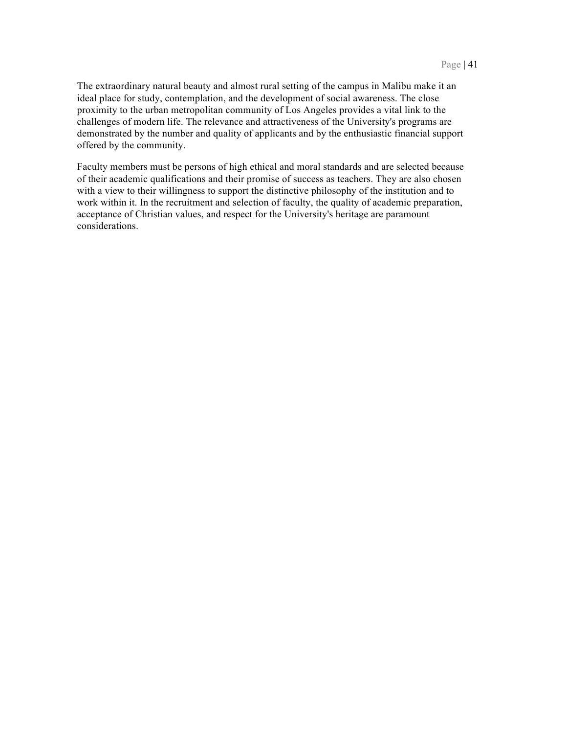The extraordinary natural beauty and almost rural setting of the campus in Malibu make it an proximity to the urban metropolitan community of Los Angeles provides a vital link to the challenges of modern life. The relevance and attractiveness of the University's programs are demonstrated by the number and quality of applicants and by the enthusiastic financial support ideal place for study, contemplation, and the development of social awareness. The close offered by the community.

 Faculty members must be persons of high ethical and moral standards and are selected because of their academic qualifications and their promise of success as teachers. They are also chosen with a view to their willingness to support the distinctive philosophy of the institution and to work within it. In the recruitment and selection of faculty, the quality of academic preparation, acceptance of Christian values, and respect for the University's heritage are paramount considerations.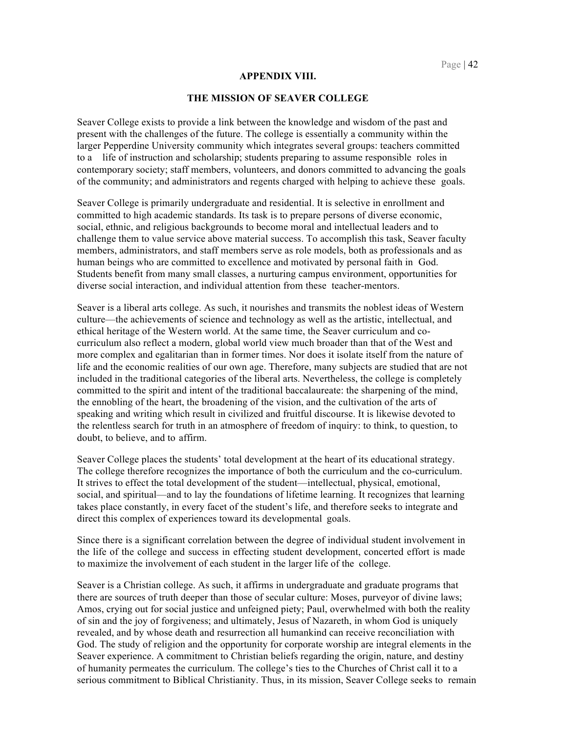#### **APPENDIX VIII.**

#### **THE MISSION OF SEAVER COLLEGE**

 Seaver College exists to provide a link between the knowledge and wisdom of the past and present with the challenges of the future. The college is essentially a community within the larger Pepperdine University community which integrates several groups: teachers committed to a life of instruction and scholarship; students preparing to assume responsible roles in contemporary society; staff members, volunteers, and donors committed to advancing the goals of the community; and administrators and regents charged with helping to achieve these goals.

 Seaver College is primarily undergraduate and residential. It is selective in enrollment and committed to high academic standards. Its task is to prepare persons of diverse economic, social, ethnic, and religious backgrounds to become moral and intellectual leaders and to challenge them to value service above material success. To accomplish this task, Seaver faculty members, administrators, and staff members serve as role models, both as professionals and as human beings who are committed to excellence and motivated by personal faith in God. Students benefit from many small classes, a nurturing campus environment, opportunities for diverse social interaction, and individual attention from these teacher-mentors.

 Seaver is a liberal arts college. As such, it nourishes and transmits the noblest ideas of Western ethical heritage of the Western world. At the same time, the Seaver curriculum and co- curriculum also reflect a modern, global world view much broader than that of the West and more complex and egalitarian than in former times. Nor does it isolate itself from the nature of committed to the spirit and intent of the traditional baccalaureate: the sharpening of the mind, the ennobling of the heart, the broadening of the vision, and the cultivation of the arts of speaking and writing which result in civilized and fruitful discourse. It is likewise devoted to doubt, to believe, and to affirm. culture—the achievements of science and technology as well as the artistic, intellectual, and life and the economic realities of our own age. Therefore, many subjects are studied that are not included in the traditional categories of the liberal arts. Nevertheless, the college is completely the relentless search for truth in an atmosphere of freedom of inquiry: to think, to question, to

 Seaver College places the students' total development at the heart of its educational strategy. The college therefore recognizes the importance of both the curriculum and the co-curriculum. It strives to effect the total development of the student—intellectual, physical, emotional, social, and spiritual—and to lay the foundations of lifetime learning. It recognizes that learning direct this complex of experiences toward its developmental goals. takes place constantly, in every facet of the student's life, and therefore seeks to integrate and

 Since there is a significant correlation between the degree of individual student involvement in the life of the college and success in effecting student development, concerted effort is made to maximize the involvement of each student in the larger life of the college.

 Seaver is a Christian college. As such, it affirms in undergraduate and graduate programs that Amos, crying out for social justice and unfeigned piety; Paul, overwhelmed with both the reality of sin and the joy of forgiveness; and ultimately, Jesus of Nazareth, in whom God is uniquely revealed, and by whose death and resurrection all humankind can receive reconciliation with God. The study of religion and the opportunity for corporate worship are integral elements in the Seaver experience. A commitment to Christian beliefs regarding the origin, nature, and destiny of humanity permeates the curriculum. The college's ties to the Churches of Christ call it to a serious commitment to Biblical Christianity. Thus, in its mission, Seaver College seeks to remain there are sources of truth deeper than those of secular culture: Moses, purveyor of divine laws;